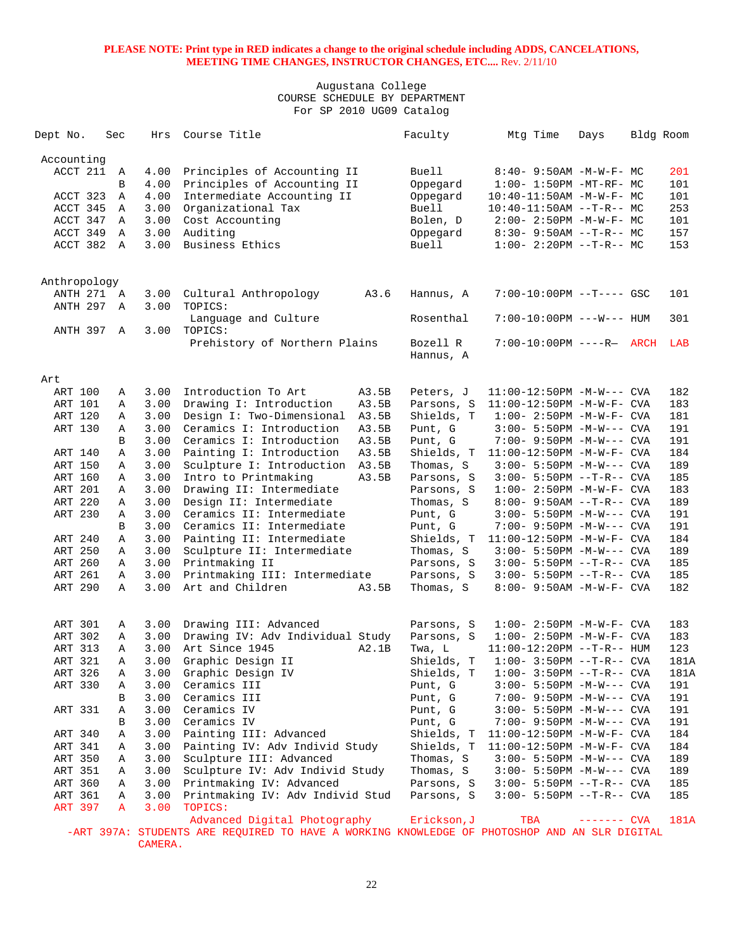## Augustana College COURSE SCHEDULE BY DEPARTMENT For SP 2010 UG09 Catalog

| Dept No.       |            | Sec            | Hrs  | Course Title                                                                                                                 |       | Faculty               | Mtg Time                         | Days         | Bldg Room |      |
|----------------|------------|----------------|------|------------------------------------------------------------------------------------------------------------------------------|-------|-----------------------|----------------------------------|--------------|-----------|------|
| Accounting     |            |                |      |                                                                                                                              |       |                       |                                  |              |           |      |
| ACCT 211       |            | A              | 4.00 | Principles of Accounting II                                                                                                  |       | <b>Buell</b>          | $8:40 - 9:50AM - M - W - F - MC$ |              |           | 201  |
|                |            | В              | 4.00 | Principles of Accounting II                                                                                                  |       | Oppegard              | $1:00-1:50PM -MT-RF-MC$          |              |           | 101  |
| ACCT 323       |            | Α              | 4.00 | Intermediate Accounting II                                                                                                   |       | Oppegard              | $10:40 - 11:50AM$ -M-W-F- MC     |              |           | 101  |
| ACCT 345       |            | Α              | 3.00 | Organizational Tax                                                                                                           |       | <b>Buell</b>          | $10:40-11:50AM$ --T-R-- MC       |              |           | 253  |
| ACCT 347       |            | Α              | 3.00 | Cost Accounting                                                                                                              |       | Bolen, D              | $2:00-2:50PM -M-W-F-MC$          |              |           | 101  |
| ACCT 349       |            | Α              | 3.00 | Auditing                                                                                                                     |       | Oppegard              | $8:30 - 9:50AM -T-R-- MC$        |              |           | 157  |
| ACCT 382       |            | $\overline{A}$ | 3.00 | Business Ethics                                                                                                              |       | <b>Buell</b>          | $1:00-2:20PM -T-R--MC$           |              |           | 153  |
| Anthropology   |            |                |      |                                                                                                                              |       |                       |                                  |              |           |      |
|                | ANTH 271 A |                | 3.00 | Cultural Anthropology                                                                                                        | A3.6  | Hannus, A             | 7:00-10:00PM --T---- GSC         |              |           | 101  |
| ANTH 297       |            | Α              | 3.00 | TOPICS:                                                                                                                      |       |                       |                                  |              |           |      |
|                |            |                |      | Language and Culture                                                                                                         |       | Rosenthal             | 7:00-10:00PM ---W--- HUM         |              |           | 301  |
| ANTH 397 A     |            |                | 3.00 | TOPICS:                                                                                                                      |       |                       |                                  |              |           |      |
|                |            |                |      | Prehistory of Northern Plains                                                                                                |       | Bozell R<br>Hannus, A | 7:00-10:00PM ----R- ARCH         |              |           | LAB  |
| Art            |            |                |      |                                                                                                                              |       |                       |                                  |              |           |      |
| ART 100        |            | Α              | 3.00 | Introduction To Art                                                                                                          | A3.5B | Peters, J             | $11:00-12:50PM -M-W---$ CVA      |              |           | 182  |
| ART 101        |            | Α              | 3.00 | Drawing I: Introduction                                                                                                      | A3.5B | Parsons, S            | 11:00-12:50PM -M-W-F- CVA        |              |           | 183  |
| ART 120        |            | A              | 3.00 | Design I: Two-Dimensional                                                                                                    | A3.5B | Shields, T            | $1:00 - 2:50PM -M-W-F - CVA$     |              |           | 181  |
| ART 130        |            | Α              | 3.00 | Ceramics I: Introduction                                                                                                     | A3.5B | Punt, G               | $3:00 - 5:50PM -M-W---$ CVA      |              |           | 191  |
|                |            | B              | 3.00 | Ceramics I: Introduction                                                                                                     | A3.5B | Punt, G               | 7:00- 9:50PM -M-W--- CVA         |              |           | 191  |
| ART 140        |            | Α              | 3.00 | Painting I: Introduction                                                                                                     | A3.5B | Shields, T            | 11:00-12:50PM -M-W-F- CVA        |              |           | 184  |
| ART 150        |            | Α              | 3.00 | Sculpture I: Introduction                                                                                                    | A3.5B | Thomas, S             | $3:00 - 5:50PM -M-W---$ CVA      |              |           | 189  |
| ART 160        |            | Α              | 3.00 | Intro to Printmaking                                                                                                         | A3.5B | Parsons, S            | $3:00 - 5:50PM -T-R--CVA$        |              |           | 185  |
| ART 201        |            | Α              | 3.00 | Drawing II: Intermediate                                                                                                     |       | Parsons, S            | $1:00 - 2:50PM -M-W-F - CVA$     |              |           | 183  |
| ART 220        |            | Α              | 3.00 | Design II: Intermediate                                                                                                      |       | Thomas, S             | $8:00 - 9:50AM -T-R--CVA$        |              |           | 189  |
| ART 230        |            | Α              | 3.00 | Ceramics II: Intermediate                                                                                                    |       | Punt, G               | $3:00 - 5:50PM -M-W---$ CVA      |              |           | 191  |
|                |            | B              | 3.00 | Ceramics II: Intermediate                                                                                                    |       | Punt, G               | 7:00- 9:50PM -M-W--- CVA         |              |           | 191  |
| ART 240        |            | Α              | 3.00 | Painting II: Intermediate                                                                                                    |       | Shields, T            | $11:00-12:50PM -M-W-F-CVA$       |              |           | 184  |
| ART 250        |            | Α              | 3.00 | Sculpture II: Intermediate                                                                                                   |       | Thomas, S             | $3:00 - 5:50PM -M-W---$ CVA      |              |           | 189  |
| ART 260        |            | Α              | 3.00 | Printmaking II                                                                                                               |       | Parsons, S            | $3:00 - 5:50PM -T-R--CVA$        |              |           | 185  |
| ART 261        |            | Α              | 3.00 | Printmaking III: Intermediate                                                                                                |       | Parsons, S            | $3:00 - 5:50PM -T-R--CVA$        |              |           | 185  |
| ART 290        |            | Α              | 3.00 | Art and Children                                                                                                             | A3.5B | Thomas, S             | 8:00- 9:50AM -M-W-F- CVA         |              |           | 182  |
| ART 301        |            | Α              | 3.00 | Drawing III: Advanced                                                                                                        |       | Parsons, S            | $1:00 - 2:50PM -M-W-F - CVA$     |              |           | 183  |
| ART 302        |            | Α              | 3.00 | Drawing IV: Adv Individual Study                                                                                             |       | Parsons, S            | $1:00 - 2:50PM -M-W-F - CVA$     |              |           | 183  |
| ART 313        |            | Α              | 3.00 | Art Since 1945                                                                                                               | A2.1B | Twa, L                | $11:00-12:20PM -T-R--HUM$        |              |           | 123  |
| ART 321        |            | Α              | 3.00 | Graphic Design II                                                                                                            |       | Shields, T            | $1:00-3:50PM -T-R--CVA$          |              |           | 181A |
| ART 326        |            | А              | 3.00 | Graphic Design IV                                                                                                            |       | Shields, T            | $1:00-3:50PM -T-R--CVA$          |              |           | 181A |
| ART 330        |            | Α              | 3.00 | Ceramics III                                                                                                                 |       | Punt, G               | 3:00- 5:50PM -M-W--- CVA         |              |           | 191  |
|                |            | В              | 3.00 | Ceramics III                                                                                                                 |       | Punt, G               | $7:00 - 9:50PM -M-W---$ CVA      |              |           | 191  |
| ART 331        |            | Α              | 3.00 | Ceramics IV                                                                                                                  |       | Punt, G               | 3:00- 5:50PM -M-W--- CVA         |              |           | 191  |
|                |            | В              | 3.00 | Ceramics IV                                                                                                                  |       | Punt, G               | 7:00- 9:50PM -M-W--- CVA         |              |           | 191  |
| ART 340        |            | Α              | 3.00 | Painting III: Advanced                                                                                                       |       | Shields, T            | $11:00-12:50PM$ -M-W-F- CVA      |              |           | 184  |
| ART 341        |            | Α              | 3.00 | Painting IV: Adv Individ Study                                                                                               |       | Shields, T            | $11:00-12:50PM -M-W-F-CVA$       |              |           | 184  |
| ART 350        |            | Α              | 3.00 | Sculpture III: Advanced                                                                                                      |       | Thomas, S             | 3:00- 5:50PM -M-W--- CVA         |              |           | 189  |
| ART 351        |            | Α              | 3.00 | Sculpture IV: Adv Individ Study                                                                                              |       | Thomas, S             | $3:00 - 5:50PM -M-W---$ CVA      |              |           | 189  |
| ART 360        |            | Α              | 3.00 | Printmaking IV: Advanced                                                                                                     |       | Parsons, S            | 3:00- 5:50PM --T-R-- CVA         |              |           | 185  |
| ART 361        |            | Α              | 3.00 | Printmaking IV: Adv Individ Stud                                                                                             |       | Parsons, S            | 3:00- 5:50PM --T-R-- CVA         |              |           | 185  |
| <b>ART 397</b> |            | A              | 3.00 | TOPICS:                                                                                                                      |       |                       |                                  |              |           |      |
|                |            |                |      | Advanced Digital Photography<br>-ART 397A: STUDENTS ARE REQUIRED TO HAVE A WORKING KNOWLEDGE OF PHOTOSHOP AND AN SLR DIGITAL |       | Erickson, J           | TBA                              | $------$ CVA |           | 181A |

CAMERA.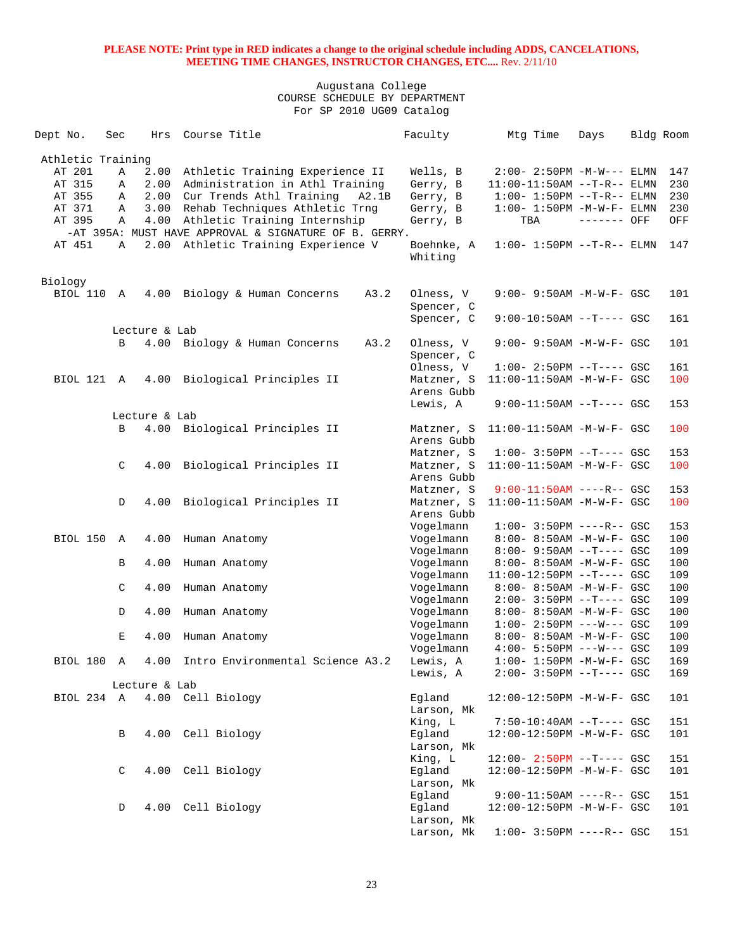| Dept No.          | Sec | Hrs           | Course Title                                          | Faculty                               | Mtg Time                                               | Days        | Bldg Room  |
|-------------------|-----|---------------|-------------------------------------------------------|---------------------------------------|--------------------------------------------------------|-------------|------------|
| Athletic Training |     |               |                                                       |                                       |                                                        |             |            |
| AT 201            | Α   | 2.00          | Athletic Training Experience II                       | Wells, B                              | $2:00 - 2:50PM -M-W---$ ELMN                           |             | 147        |
| AT 315            | Α   | 2.00          | Administration in Athl Training                       | Gerry, B                              | $11:00-11:50AM$ --T-R-- ELMN                           |             | 230        |
| AT 355            | Α   | 2.00          | Cur Trends Athl Training<br>A2.1B                     | Gerry, B                              | $1:00 - 1:50PM -T-R-- ELMN$                            |             | 230        |
| AT 371            | Α   | 3.00          | Rehab Techniques Athletic Trng                        | Gerry, B                              | $1:00-1:50PM -M-W-F-ELMN$                              |             | 230        |
| AT 395            | Α   |               |                                                       |                                       |                                                        |             |            |
|                   |     | 4.00          | Athletic Training Internship                          | Gerry, B                              | TBA                                                    | ------- OFF | OFF        |
|                   |     |               | -AT 395A: MUST HAVE APPROVAL & SIGNATURE OF B. GERRY. |                                       |                                                        |             |            |
| AT 451            | Α   |               | 2.00 Athletic Training Experience V                   | Boehnke, A<br>Whiting                 | $1:00 - 1:50PM -T-R-- ELMN$                            |             | 147        |
| Biology           |     |               |                                                       |                                       |                                                        |             |            |
| BIOL 110          | A   | 4.00          | Biology & Human Concerns<br>A3.2                      | Olness, V<br>Spencer, C<br>Spencer, C | 9:00- 9:50AM -M-W-F- GSC<br>$9:00-10:50AM$ --T---- GSC |             | 101<br>161 |
|                   |     | Lecture & Lab |                                                       |                                       |                                                        |             |            |
|                   | B   |               | 4.00 Biology & Human Concerns<br>A3.2                 | Olness, V                             | $9:00 - 9:50AM - M - W - F - GSC$                      |             | 101        |
|                   |     |               |                                                       | Spencer, C<br>Olness, V               | $1:00-2:50PM -T---GSC$                                 |             |            |
| BIOL 121 A        |     |               |                                                       |                                       |                                                        |             | 161        |
|                   |     | 4.00          | Biological Principles II                              | Matzner, S<br>Arens Gubb              | 11:00-11:50AM -M-W-F- GSC                              |             | 100        |
|                   |     |               |                                                       | Lewis, A                              | $9:00-11:50AM$ --T---- GSC                             |             | 153        |
|                   |     | Lecture & Lab |                                                       |                                       |                                                        |             |            |
|                   | B   |               | 4.00 Biological Principles II                         | Matzner, S                            | $11:00-11:50AM$ -M-W-F- GSC                            |             | 100        |
|                   |     |               |                                                       | Arens Gubb                            |                                                        |             |            |
|                   |     |               |                                                       | Matzner, S                            | $1:00-3:50PM --T---GSC$                                |             | 153        |
|                   | C   | 4.00          | Biological Principles II                              | Matzner, S                            | 11:00-11:50AM -M-W-F- GSC                              |             | 100        |
|                   |     |               |                                                       | Arens Gubb                            |                                                        |             |            |
|                   |     |               |                                                       | Matzner, S                            | $9:00-11:50AM$ ----R-- GSC                             |             | 153        |
|                   | D   | 4.00          | Biological Principles II                              | Matzner, S<br>Arens Gubb              | 11:00-11:50AM -M-W-F- GSC                              |             | 100        |
|                   |     |               |                                                       | Vogelmann                             | $1:00 - 3:50PM$ ----R-- GSC                            |             | 153        |
| BIOL 150          | A   | 4.00          | Human Anatomy                                         | Vogelmann                             | 8:00- 8:50AM -M-W-F- GSC                               |             | 100        |
|                   |     |               |                                                       | Vogelmann                             | $8:00 - 9:50AM -T--- GSC$                              |             | 109        |
|                   | В   | 4.00          | Human Anatomy                                         | Vogelmann                             | 8:00- 8:50AM -M-W-F- GSC                               |             | 100        |
|                   |     |               |                                                       | Vogelmann                             | $11:00-12:50PM$ --T---- GSC                            |             | 109        |
|                   | C   | 4.00          | Human Anatomy                                         | Vogelmann                             | 8:00- 8:50AM -M-W-F- GSC                               |             | 100        |
|                   |     |               |                                                       | Vogelmann                             | $2:00 - 3:50PM -T---$ GSC                              |             | 109        |
|                   | D   | 4.00          | Human Anatomy                                         | Vogelmann                             | 8:00- 8:50AM -M-W-F- GSC                               |             | 100        |
|                   |     |               |                                                       | Vogelmann                             | $1:00 - 2:50PM$ ---W--- GSC                            |             | 109        |
|                   | Е   | 4.00          | Human Anatomy                                         | Vogelmann                             | 8:00- 8:50AM -M-W-F- GSC                               |             | 100        |
|                   |     |               |                                                       | Vogelmann                             | $4:00 - 5:50PM$ ---W--- GSC                            |             | 109        |
| BIOL 180          | A   | 4.00          | Intro Environmental Science A3.2                      | Lewis, A                              | $1:00 - 1:50PM - M - W - F - GSC$                      |             | 169        |
|                   |     |               |                                                       | Lewis, A                              | 2:00- 3:50PM --T---- GSC                               |             | 169        |
|                   |     | Lecture & Lab |                                                       |                                       |                                                        |             |            |
| BIOL 234 A        |     |               | 4.00 Cell Biology                                     | Eqland                                | 12:00-12:50PM -M-W-F- GSC                              |             | 101        |
|                   |     |               |                                                       | Larson, Mk                            |                                                        |             |            |
|                   |     |               |                                                       | King, L                               | $7:50-10:40AM$ --T---- GSC                             |             | 151        |
|                   | В   |               | 4.00 Cell Biology                                     | Egland                                | 12:00-12:50PM -M-W-F- GSC                              |             | 101        |
|                   |     |               |                                                       | Larson, Mk                            |                                                        |             |            |
|                   |     |               |                                                       | King, L                               | $12:00 - 2:50PM -T--- GSC$                             |             | 151        |
|                   | C   |               | 4.00 Cell Biology                                     | Egland                                | 12:00-12:50PM -M-W-F- GSC                              |             | 101        |
|                   |     |               |                                                       | Larson, Mk                            |                                                        |             |            |
|                   |     |               |                                                       | Eqland                                | $9:00-11:50AM$ ----R-- GSC                             |             | 151        |
|                   | D   |               | 4.00 Cell Biology                                     | Eqland                                | 12:00-12:50PM -M-W-F- GSC                              |             | 101        |
|                   |     |               |                                                       | Larson, Mk                            |                                                        |             |            |
|                   |     |               |                                                       | Larson, Mk                            | $1:00 - 3:50PM$ ----R-- GSC                            |             | 151        |
|                   |     |               |                                                       |                                       |                                                        |             |            |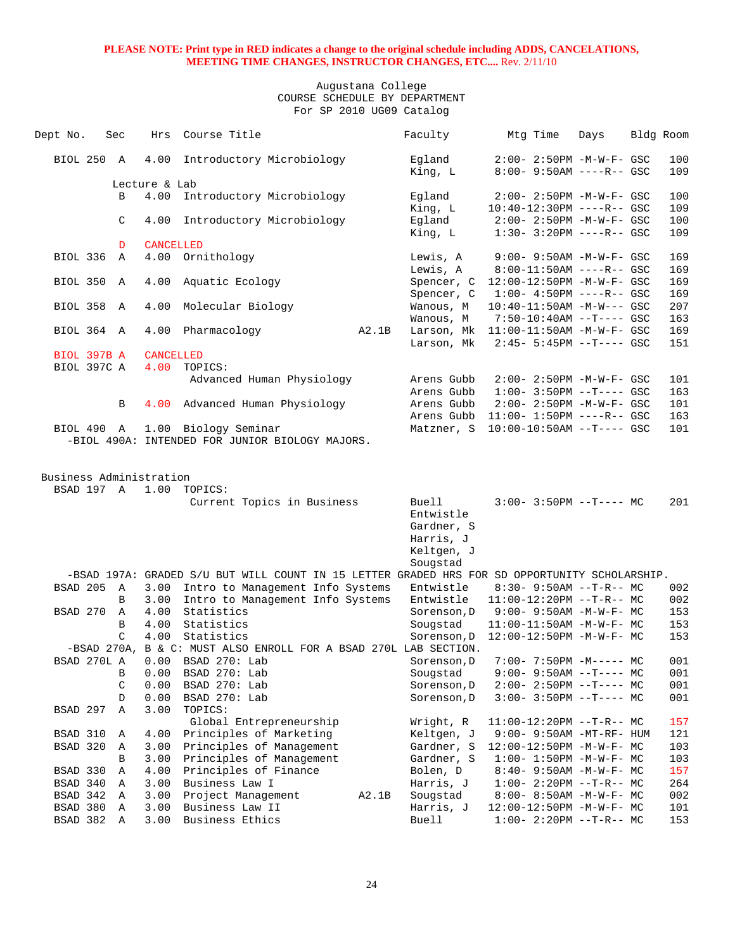| Dept No.    | Sec |               | Hrs              | Course Title                                                                                  |       | Faculty                                       | Mtg Time | Days                              | Bldg Room |
|-------------|-----|---------------|------------------|-----------------------------------------------------------------------------------------------|-------|-----------------------------------------------|----------|-----------------------------------|-----------|
| BIOL 250 A  |     |               |                  | 4.00 Introductory Microbiology                                                                |       | Egland                                        |          | $2:00 - 2:50PM - M - W - F - GSC$ | 100       |
|             |     |               | Lecture & Lab    |                                                                                               |       | King, L                                       |          | $8:00 - 9:50AM$ ----R-- GSC       | 109       |
|             |     | B             | 4.00             | Introductory Microbiology                                                                     |       | Eqland                                        |          | $2:00 - 2:50PM - M - W - F - GSC$ | 100       |
|             |     |               |                  |                                                                                               |       | King, L                                       |          | $10:40-12:30PM$ ----R-- GSC       | 109       |
|             |     | C             | 4.00             | Introductory Microbiology                                                                     |       | Egland                                        |          | $2:00 - 2:50PM - M - W - F - GSC$ | 100       |
|             |     |               |                  |                                                                                               |       | King, L                                       |          | $1:30 - 3:20PM$ ----R-- GSC       | 109       |
|             |     | D             | <b>CANCELLED</b> |                                                                                               |       |                                               |          |                                   |           |
| BIOL 336 A  |     |               |                  | 4.00 Ornithology                                                                              |       | Lewis, A                                      |          | 9:00- 9:50AM -M-W-F- GSC          | 169       |
|             |     |               |                  |                                                                                               |       | Lewis, A                                      |          | 8:00-11:50AM ----R-- GSC          | 169       |
| BIOL 350 A  |     |               | 4.00             | Aquatic Ecology                                                                               |       | Spencer, C 12:00-12:50PM -M-W-F- GSC          |          |                                   | 169       |
|             |     |               |                  |                                                                                               |       | Spencer, C                                    |          | $1:00-4:50PM$ ----R-- GSC         | 169       |
| BIOL 358 A  |     |               | 4.00             | Molecular Biology                                                                             |       | Wanous, M                                     |          | $10:40-11:50AM$ $-M-W---$ GSC     | 207       |
|             |     |               |                  |                                                                                               |       | Wanous, M                                     |          | 7:50-10:40AM --T---- GSC          | 163       |
| BIOL 364 A  |     |               |                  | 4.00 Pharmacology                                                                             | A2.1B | Larson, Mk $11:00-11:50AM -M-W-F- GSC$        |          |                                   | 169       |
|             |     |               |                  |                                                                                               |       | Larson, Mk                                    |          | $2:45-5:45PM -T--- GSC$           | 151       |
| BIOL 397B A |     |               | CANCELLED        |                                                                                               |       |                                               |          |                                   |           |
| BIOL 397C A |     |               | 4.00             | TOPICS:<br>Advanced Human Physiology                                                          |       | Arens Gubb                                    |          | 2:00- 2:50PM -M-W-F- GSC          | 101       |
|             |     |               |                  |                                                                                               |       | Arens Gubb                                    |          | $1:00-3:50PM --T---GSC$           | 163       |
|             |     | В             |                  | 4.00 Advanced Human Physiology                                                                |       | Arens Gubb                                    |          | $2:00 - 2:50PM -M-W-F - GSC$      | 101       |
|             |     |               |                  |                                                                                               |       | Arens Gubb 11:00- 1:50PM ----R-- GSC          |          |                                   | 163       |
| BIOL 490 A  |     |               |                  | 1.00 Biology Seminar                                                                          |       | Matzner, S                                    |          | $10:00-10:50AM$ --T---- GSC       | 101       |
|             |     |               |                  | -BIOL 490A: INTENDED FOR JUNIOR BIOLOGY MAJORS.                                               |       |                                               |          |                                   |           |
|             |     |               |                  | BSAD 197 A 1.00 TOPICS:<br>Current Topics in Business                                         |       | Buell<br>Entwistle<br>Gardner, S<br>Harris, J |          | $3:00-3:50PM -T--- MC$            | 201       |
|             |     |               |                  |                                                                                               |       | Keltgen, J                                    |          |                                   |           |
|             |     |               |                  | -BSAD 197A: GRADED S/U BUT WILL COUNT IN 15 LETTER GRADED HRS FOR SD OPPORTUNITY SCHOLARSHIP. |       | Sougstad                                      |          |                                   |           |
| BSAD 205 A  |     |               |                  | 3.00 Intro to Management Info Systems                                                         |       | Entwistle                                     |          | $8:30 - 9:50AM -T-R-- MC$         | 002       |
|             |     | B             |                  | 3.00 Intro to Management Info Systems                                                         |       | Entwistle                                     |          | $11:00-12:20PM$ --T-R-- MC        | 002       |
| BSAD 270 A  |     |               |                  | 4.00 Statistics                                                                               |       | Sorenson, $D$ 9:00-9:50AM -M-W-F-MC           |          |                                   | 153       |
|             |     | B             | 4.00             | Statistics                                                                                    |       | Sougstad                                      |          | $11:00-11:50AM$ -M-W-F- MC        | 153       |
|             |     | $\mathcal{C}$ | 4.00             | Statistics                                                                                    |       | Sorenson, D 12:00-12:50PM -M-W-F- MC          |          |                                   | 153       |
|             |     |               |                  | -BSAD 270A, B & C: MUST ALSO ENROLL FOR A BSAD 270L LAB SECTION.                              |       |                                               |          |                                   |           |
| BSAD 270L A |     |               |                  | $0.00$ BSAD $270:$ Lab                                                                        |       | Sorenson, D                                   |          | $7:00 - 7:50PM -M--- - M$         | 001       |
|             |     | В             | 0.00             | BSAD 270: Lab                                                                                 |       | Sougstad                                      |          | $9:00-9:50AM --T---MC$            | 001       |
|             |     | $\mathsf C$   | 0.00             | BSAD 270: Lab                                                                                 |       | Sorenson, D                                   |          | $2:00-2:50PM -T--- MC$            | 001       |
|             |     | $\mathbb D$   | 0.00             | BSAD 270: Lab                                                                                 |       | Sorenson, D                                   |          | $3:00-3:50PM -T--- MC$            | 001       |
| BSAD 297    |     | Α             | 3.00             | TOPICS:                                                                                       |       |                                               |          |                                   |           |
|             |     |               |                  | Global Entrepreneurship                                                                       |       | Wright, R                                     |          | $11:00-12:20PM$ --T-R-- MC        | 157       |
| BSAD 310    |     | Α             | 4.00             | Principles of Marketing                                                                       |       | Keltgen, J                                    |          | 9:00- 9:50AM -MT-RF- HUM          | 121       |
| BSAD 320    |     | Α             | 3.00             | Principles of Management                                                                      |       | Gardner, S                                    |          | 12:00-12:50PM -M-W-F- MC          | 103       |
|             |     | В             | 3.00             | Principles of Management                                                                      |       | Gardner, S                                    |          | $1:00 - 1:50PM - M - W - F - MC$  | 103       |
| BSAD 330    |     | Α             | 4.00             | Principles of Finance                                                                         |       | Bolen, D                                      |          | $8:40 - 9:50AM - M - W - F - MC$  | 157       |
| BSAD 340    |     | $\mathbb A$   | 3.00             | Business Law I                                                                                |       | Harris, J                                     |          | $1:00-2:20PM -T-R--MC$            | 264       |
| BSAD 342 A  |     |               | 3.00             | Project Management                                                                            | A2.1B | Sougstad                                      |          | $8:00-8:50AM$ -M-W-F- MC          | 002       |
| BSAD 380    |     | Α             | 3.00             | Business Law II                                                                               |       | Harris, J                                     |          | 12:00-12:50PM -M-W-F- MC          | 101       |
| BSAD 382    |     | Α             | 3.00             | Business Ethics                                                                               |       | <b>Buell</b>                                  |          | $1:00-2:20PM -T-R--MC$            | 153       |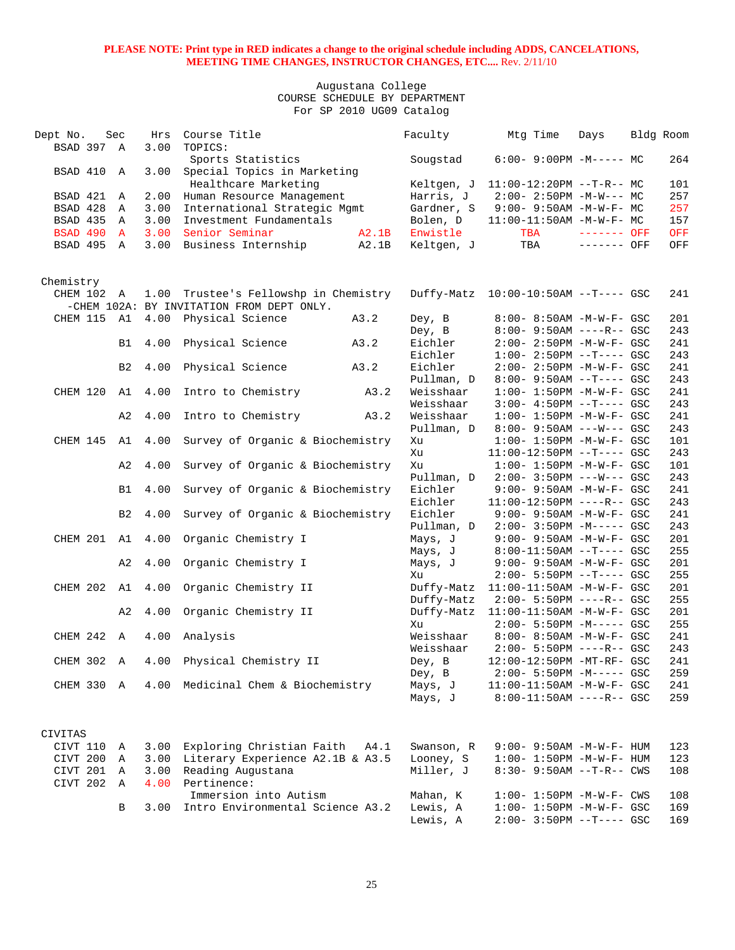| Dept No.<br>BSAD 397 A | Sec            | Hrs<br>3.00 | Course Title<br>TOPICS:                                                            |       | Faculty                 | Mtg Time                                                       | Days         | Bldg Room |            |
|------------------------|----------------|-------------|------------------------------------------------------------------------------------|-------|-------------------------|----------------------------------------------------------------|--------------|-----------|------------|
| BSAD 410 A             |                | 3.00        | Sports Statistics<br>Special Topics in Marketing                                   |       | Sougstad                | $6:00-9:00PM -M--- - M$                                        |              |           | 264        |
|                        |                |             | Healthcare Marketing                                                               |       | Keltgen, J              | $11:00-12:20PM$ --T-R-- MC                                     |              |           | 101        |
| BSAD 421               | Α              | 2.00        | Human Resource Management                                                          |       | Harris, J               | $2:00 - 2:50PM -M-W--- MC$                                     |              |           | 257        |
| BSAD 428               | Α              | 3.00        | International Strategic Mgmt                                                       |       | Gardner, S              | $9:00 - 9:50AM -M-W-F - MC$                                    |              |           | 257        |
| BSAD 435               | Α              | 3.00        | Investment Fundamentals                                                            |       | Bolen, D                | $11:00-11:50AM$ -M-W-F- MC                                     |              |           | 157        |
| <b>BSAD 490 A</b>      |                | 3.00        | Senior Seminar                                                                     | A2.1B | Enwistle                | TBA                                                            | $------$ OFF |           | OFF        |
| BSAD 495 A             |                | 3.00        | Business Internship                                                                | A2.1B | Keltgen, J              | TBA                                                            | ------- OFF  |           | OFF        |
| Chemistry              |                |             |                                                                                    |       |                         |                                                                |              |           |            |
| CHEM 102 A             |                |             | 1.00 Trustee's Fellowshp in Chemistry<br>-CHEM 102A: BY INVITATION FROM DEPT ONLY. |       |                         | Duffy-Matz  10:00-10:50AM --T---- GSC                          |              |           | 241        |
| CHEM 115               | A1             |             | 4.00 Physical Science                                                              | A3.2  | Dey, B                  | 8:00- 8:50AM -M-W-F- GSC                                       |              |           | 201        |
|                        |                |             |                                                                                    |       | Dey, B                  | $8:00 - 9:50AM$ ----R-- GSC                                    |              |           | 243        |
|                        | B1             | 4.00        | Physical Science                                                                   | A3.2  | Eichler                 | $2:00 - 2:50PM - M - W - F - GSC$                              |              |           | 241        |
|                        |                |             |                                                                                    |       | Eichler                 | $1:00-2:50PM --T---GSC$                                        |              |           | 243        |
|                        | B <sub>2</sub> | 4.00        | Physical Science                                                                   | A3.2  | Eichler                 | $2:00 - 2:50PM -M-W-F - GSC$                                   |              |           | 241        |
| CHEM 120               | A1             | 4.00        |                                                                                    | A3.2  | Pullman, D<br>Weisshaar | $8:00 - 9:50AM -T--- GSC$<br>$1:00 - 1:50PM -M-W-F - GSC$      |              |           | 243<br>241 |
|                        |                |             | Intro to Chemistry                                                                 |       | Weisshaar               | $3:00-4:50PM --T---GSC$                                        |              |           | 243        |
|                        | A2             | 4.00        | Intro to Chemistry                                                                 | A3.2  | Weisshaar               | $1:00 - 1:50PM - M - W - F - GSC$                              |              |           | 241        |
|                        |                |             |                                                                                    |       | Pullman, D              | $8:00 - 9:50AM$ ---W--- GSC                                    |              |           | 243        |
| CHEM 145               | A1             | 4.00        | Survey of Organic & Biochemistry                                                   |       | Xu                      | $1:00 - 1:50PM - M - W - F - GSC$                              |              |           | 101        |
|                        |                |             |                                                                                    |       | Xu                      | $11:00-12:50PM$ --T---- GSC                                    |              |           | 243        |
|                        | A2             | 4.00        | Survey of Organic & Biochemistry                                                   |       | Xu                      | $1:00 - 1:50PM - M - W - F - GSC$                              |              |           | 101        |
|                        |                |             |                                                                                    |       | Pullman, D              | $2:00 - 3:50PM$ ---W--- GSC                                    |              |           | 243        |
|                        | B1             | 4.00        | Survey of Organic & Biochemistry                                                   |       | Eichler                 | 9:00- 9:50AM -M-W-F- GSC                                       |              |           | 241        |
|                        |                |             |                                                                                    |       | Eichler                 | $11:00-12:50PM$ ----R-- GSC                                    |              |           | 243        |
|                        | B <sub>2</sub> | 4.00        | Survey of Organic & Biochemistry                                                   |       | Eichler                 | $9:00 - 9:50AM - M - W - F - GSC$                              |              |           | 241        |
|                        |                |             |                                                                                    |       | Pullman, D              | $2:00 - 3:50PM -M--- GSC$                                      |              |           | 243        |
| CHEM 201 A1            |                | 4.00        | Organic Chemistry I                                                                |       | Mays, J                 | $9:00 - 9:50AM - M - W - F - GSC$                              |              |           | 201        |
|                        |                |             |                                                                                    |       | Mays, J                 | $8:00-11:50AM$ --T---- GSC                                     |              |           | 255        |
|                        | A2             | 4.00        | Organic Chemistry I                                                                |       | Mays, J<br>Xu           | $9:00 - 9:50AM - M - W - F - GSC$<br>$2:00 - 5:50PM -T--- GSC$ |              |           | 201<br>255 |
| CHEM 202               | A1             | 4.00        | Organic Chemistry II                                                               |       | Duffy-Matz              | 11:00-11:50AM -M-W-F- GSC                                      |              |           | 201        |
|                        |                |             |                                                                                    |       | Duffy-Matz              | $2:00 - 5:50PM$ ----R-- GSC                                    |              |           | 255        |
|                        | A2             | 4.00        | Organic Chemistry II                                                               |       | Duffy-Matz              | $11:00-11:50AM$ -M-W-F- GSC                                    |              |           | 201        |
|                        |                |             |                                                                                    |       | Xu                      | $2:00 - 5:50PM -M--- GSC$                                      |              |           | 255        |
| CHEM 242 A             |                | 4.00        | Analysis                                                                           |       | Weisshaar               | 8:00- 8:50AM -M-W-F- GSC                                       |              |           | 241        |
|                        |                |             |                                                                                    |       | Weisshaar               | $2:00 - 5:50PM$ ----R-- GSC                                    |              |           | 243        |
| CHEM 302 A             |                |             | 4.00 Physical Chemistry II                                                         |       | Dey, B                  | 12:00-12:50PM -MT-RF- GSC                                      |              |           | 241        |
|                        |                |             |                                                                                    |       | Dey, B                  | $2:00 - 5:50PM -M--- GSC$                                      |              |           | 259        |
|                        |                |             | CHEM 330 A 4.00 Medicinal Chem & Biochemistry                                      |       | Mays, J                 | 11:00-11:50AM -M-W-F- GSC                                      |              |           | 241        |
|                        |                |             |                                                                                    |       | Mays, J                 | $8:00-11:50AM$ ----R-- GSC                                     |              |           | 259        |
| CIVITAS                |                |             |                                                                                    |       |                         |                                                                |              |           |            |
| CIVT 110               | Α              | 3.00        | Exploring Christian Faith                                                          | A4.1  | Swanson, R              | $9:00 - 9:50AM - M - W - F - HUM$                              |              |           | 123        |
| CIVT 200               | A              | 3.00        | Literary Experience A2.1B & A3.5                                                   |       | Looney, S               | $1:00 - 1:50PM - M - W - F - HUM$                              |              |           | 123        |
| CIVT 201               | $\overline{A}$ | 3.00        | Reading Augustana                                                                  |       | Miller, J               | $8:30 - 9:50AM -T-R - CWS$                                     |              |           | 108        |
| CIVT 202 A             |                | 4.00        | Pertinence:                                                                        |       |                         |                                                                |              |           |            |
|                        |                |             | Immersion into Autism                                                              |       | Mahan, K                | $1:00 - 1:50PM - M - W - F - CWS$                              |              |           | 108        |
|                        | В              | 3.00        | Intro Environmental Science A3.2                                                   |       | Lewis, A                | $1:00 - 1:50PM - M - W - F - GSC$                              |              |           | 169        |
|                        |                |             |                                                                                    |       | Lewis, A                | $2:00 - 3:50PM -T---$ GSC                                      |              |           | 169        |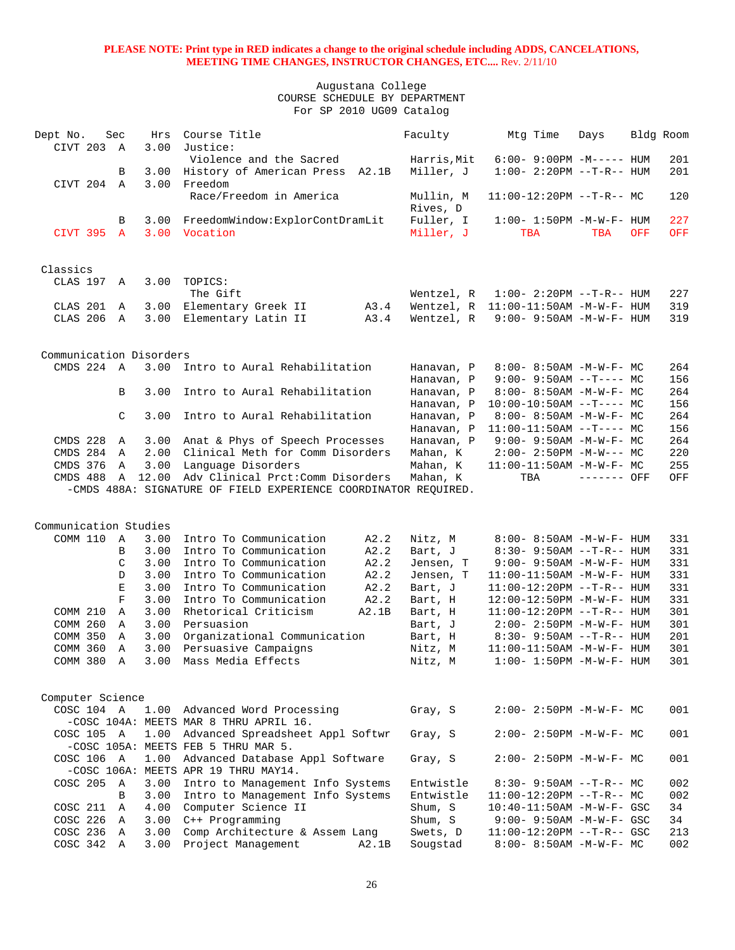| Dept No.                | CIVT 203 A               | Sec            | Hrs<br>3.00 | Course Title<br>Justice:                                           | Faculty              | Mtg Time                                                        | Days                        | Bldg Room  |            |
|-------------------------|--------------------------|----------------|-------------|--------------------------------------------------------------------|----------------------|-----------------------------------------------------------------|-----------------------------|------------|------------|
|                         |                          |                |             | Violence and the Sacred                                            | Harris, Mit          | $6:00 - 9:00PM -M-----$ HUM                                     |                             |            | 201        |
|                         |                          | В              |             | 3.00 History of American Press A2.1B                               | Miller, J            | $1:00 - 2:20PM -T-R--HUM$                                       |                             |            | 201        |
|                         | CIVT 204 A               |                | 3.00        | Freedom                                                            |                      |                                                                 |                             |            |            |
|                         |                          |                |             | Race/Freedom in America                                            | Mullin, M            | $11:00-12:20PM --T-R--MC$                                       |                             |            | 120        |
|                         |                          |                |             |                                                                    | Rives, D             |                                                                 |                             |            |            |
|                         |                          | B              | 3.00        | FreedomWindow:ExplorContDramLit                                    | Fuller, I            | $1:00 - 1:50PM - M - W - F - HUM$                               |                             |            | 227        |
| CIVT 395                |                          | $\overline{A}$ |             | 3.00 Vocation                                                      | Miller, J            | <b>TBA</b>                                                      | <b>TBA</b>                  | <b>OFF</b> | OFF        |
|                         |                          |                |             |                                                                    |                      |                                                                 |                             |            |            |
|                         |                          |                |             |                                                                    |                      |                                                                 |                             |            |            |
| Classics                |                          |                |             |                                                                    |                      |                                                                 |                             |            |            |
|                         | CLAS 197 A               |                | 3.00        | TOPICS:                                                            |                      |                                                                 |                             |            |            |
|                         |                          |                |             | The Gift                                                           | Wentzel, R           | $1:00 - 2:20PM -T-R--HUM$                                       |                             |            | 227        |
| CLAS 201                |                          | A              |             | 3.00 Elementary Greek II<br>A3.4                                   | Wentzel, R           | $11:00-11:50AM$ $-M-W-F-$ HUM                                   |                             |            | 319        |
|                         | CLAS 206 A               |                |             | A3.4<br>3.00 Elementary Latin II                                   | Wentzel, R           | $9:00 - 9:50AM - M - W - F - HUM$                               |                             |            | 319        |
|                         |                          |                |             |                                                                    |                      |                                                                 |                             |            |            |
|                         |                          |                |             |                                                                    |                      |                                                                 |                             |            |            |
| Communication Disorders |                          |                |             |                                                                    |                      |                                                                 |                             |            |            |
|                         | CMDS 224 A               |                | 3.00        | Intro to Aural Rehabilitation                                      | Hanavan, P           | $8:00 - 8:50AM - M - W - F - MC$                                |                             |            | 264        |
|                         |                          |                |             |                                                                    | Hanavan, P           | $9:00 - 9:50AM -T--- MC$                                        |                             |            | 156        |
|                         |                          | B              | 3.00        | Intro to Aural Rehabilitation                                      | Hanavan, P           | $8:00 - 8:50AM - M - W - F - MC$                                |                             |            | 264        |
|                         |                          |                |             |                                                                    | Hanavan, P           | $10:00-10:50AM$ --T---- MC                                      |                             |            | 156        |
|                         |                          | $\mathcal{C}$  | 3.00        | Intro to Aural Rehabilitation                                      | Hanavan, P           | $8:00 - 8:50AM - M - W - F - MC$                                |                             |            | 264        |
|                         |                          |                |             |                                                                    | Hanavan, P           | $11:00-11:50AM$ --T---- MC                                      |                             |            | 156        |
| CMDS 228                |                          | Α              |             | 3.00 Anat & Phys of Speech Processes                               | Hanavan, P           | $9:00 - 9:50AM - M - W - F - MC$                                |                             |            | 264        |
|                         | CMDS 284 A               |                | 2.00        | Clinical Meth for Comm Disorders                                   | Mahan, K             | $2:00-2:50PM -M-W--- MC$                                        |                             |            | 220        |
| CMDS 376                |                          | A              | 3.00        | Language Disorders                                                 | Mahan, K             | $11:00-11:50AM$ -M-W-F- MC                                      |                             |            | 255        |
| CMDS 488                |                          | $\mathbb{A}$   | 12.00       | Adv Clinical Prct: Comm Disorders                                  | Mahan, K             | TBA                                                             | ------- OFF                 |            | OFF        |
|                         |                          |                |             | -CMDS 488A: SIGNATURE OF FIELD EXPERIENCE COORDINATOR REQUIRED.    |                      |                                                                 |                             |            |            |
|                         |                          |                |             |                                                                    |                      |                                                                 |                             |            |            |
|                         |                          |                |             |                                                                    |                      |                                                                 |                             |            |            |
| Communication Studies   |                          |                |             |                                                                    |                      |                                                                 |                             |            |            |
| COMM 110                |                          | A              | 3.00        | Intro To Communication<br>A2.2                                     | Nitz, M              | $8:00 - 8:50AM - M - W - F - HUM$                               |                             |            | 331        |
|                         |                          | B              | 3.00        | Intro To Communication<br>A2.2                                     | Bart, J              | $8:30 - 9:50AM -T-R-- HUM$                                      |                             |            | 331        |
|                         |                          | C              | 3.00        | Intro To Communication<br>A2.2                                     | Jensen, T            | $9:00 - 9:50AM - M - W - F - HUM$                               |                             |            | 331        |
|                         |                          | D              | 3.00        | Intro To Communication<br>A2.2                                     | Jensen, T            | 11:00-11:50AM -M-W-F- HUM                                       |                             |            | 331        |
|                         |                          | E              | 3.00        | Intro To Communication<br>A2.2                                     | Bart, J              | $11:00-12:20PM$ --T-R-- HUM                                     |                             |            | 331        |
|                         |                          | $\mathbf F$    | 3.00        | Intro To Communication<br>A2.2                                     | Bart, H              | 12:00-12:50PM -M-W-F- HUM                                       |                             |            | 331        |
| COMM 210                |                          | Α              | 3.00        | Rhetorical Criticism<br>A2.1B                                      | Bart, H              | $11:00-12:20PM$ --T-R-- HUM                                     |                             |            | 301        |
| COMM 260                |                          | Α              | 3.00        | Persuasion                                                         | Bart, J              | 2:00- 2:50PM -M-W-F- HUM                                        |                             |            | 301        |
| COMM 350                |                          | A              | 3.00        | Organizational Communication                                       | Bart, H              | $8:30 - 9:50AM -T-R-- HUM$                                      |                             |            | 201        |
| COMM 360                |                          | Α              | 3.00        | Persuasive Campaigns                                               | Nitz, M              |                                                                 | $11:00-11:50AM$ -M-W-F- HUM |            | 301        |
|                         |                          |                |             |                                                                    |                      |                                                                 |                             |            |            |
|                         | COMM 380                 | Α              | 3.00        | Mass Media Effects                                                 | Nitz, M              | $1:00 - 1:50PM - M - W - F - HUM$                               |                             |            | 301        |
|                         |                          |                |             |                                                                    |                      |                                                                 |                             |            |            |
|                         |                          |                |             |                                                                    |                      |                                                                 |                             |            |            |
| Computer Science        |                          |                |             |                                                                    |                      |                                                                 |                             |            |            |
|                         | COSC 104 A               |                |             | 1.00 Advanced Word Processing                                      | Gray, S              | $2:00 - 2:50PM -M-W-F - MC$                                     |                             |            | 001        |
|                         |                          |                |             | -COSC 104A: MEETS MAR 8 THRU APRIL 16.                             |                      |                                                                 |                             |            |            |
|                         | COSC 105 A               |                |             | 1.00 Advanced Spreadsheet Appl Softwr                              | Gray, S              | $2:00 - 2:50PM -M-W-F - MC$                                     |                             |            | 001        |
|                         |                          |                |             | -COSC 105A: MEETS FEB 5 THRU MAR 5.                                |                      |                                                                 |                             |            |            |
|                         | COSC 106 A               |                |             | 1.00 Advanced Database Appl Software                               | Gray, S              | $2:00 - 2:50PM -M-W-F - MC$                                     |                             |            | 001        |
|                         |                          |                |             | -COSC 106A: MEETS APR 19 THRU MAY14.                               |                      |                                                                 |                             |            |            |
|                         | COSC 205 A               |                | 3.00        | Intro to Management Info Systems                                   | Entwistle            | $8:30 - 9:50AM -T-R-- MC$                                       |                             |            | 002        |
|                         |                          | B              | 3.00        | Intro to Management Info Systems                                   | Entwistle            | $11:00-12:20PM$ --T-R-- MC                                      |                             |            | 002        |
|                         | COSC 211 A               |                | 4.00        | Computer Science II                                                | Shum, S              | $10:40-11:50AM$ -M-W-F- GSC                                     |                             |            | 34         |
|                         | COSC 226 A               |                | 3.00        | C++ Programming                                                    | Shum, S              | 9:00- 9:50AM -M-W-F- GSC                                        |                             |            | 34         |
|                         | COSC 236 A<br>COSC 342 A |                | 3.00        | Comp Architecture & Assem Lang<br>3.00 Project Management<br>A2.1B | Swets, D<br>Sougstad | $11:00-12:20PM$ --T-R-- GSC<br>$8:00 - 8:50AM - M - W - F - MC$ |                             |            | 213<br>002 |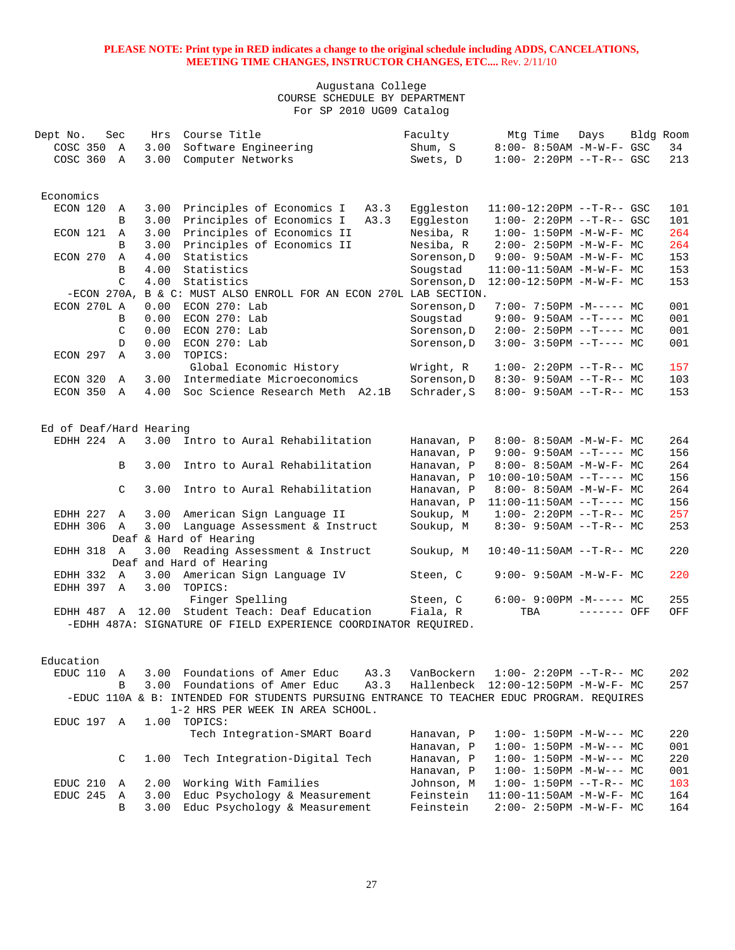| Dept No.                |               | Sec            | Hrs  | Course Title                                                                              | Faculty                             | Mtg Time | Days                                                         | Bldg Room |     |
|-------------------------|---------------|----------------|------|-------------------------------------------------------------------------------------------|-------------------------------------|----------|--------------------------------------------------------------|-----------|-----|
| COSC 350 A              |               |                | 3.00 | Software Engineering                                                                      | Shum, S                             |          | 8:00- 8:50AM -M-W-F- GSC                                     |           | 34  |
| COSC 360                |               | A              | 3.00 | Computer Networks                                                                         | Swets, D                            |          | $1:00 - 2:20PM -T-R--GSC$                                    |           | 213 |
|                         |               |                |      |                                                                                           |                                     |          |                                                              |           |     |
| Economics               |               |                |      |                                                                                           |                                     |          |                                                              |           |     |
| ECON 120                |               | Α              | 3.00 | Principles of Economics I<br>A3.3                                                         | Eqqleston                           |          | $11:00-12:20PM$ --T-R-- GSC                                  |           | 101 |
|                         |               | B              | 3.00 | A3.3                                                                                      |                                     |          |                                                              |           | 101 |
|                         |               |                |      | Principles of Economics I                                                                 | Eggleston                           |          | $1:00 - 2:20PM -T-R--GSC$                                    |           |     |
| ECON 121                |               | A              | 3.00 | Principles of Economics II                                                                | Nesiba, R                           |          | $1:00 - 1:50PM -M-W-F - MC$                                  |           | 264 |
|                         |               | B              | 3.00 | Principles of Economics II                                                                | Nesiba, R                           |          | $2:00 - 2:50PM -M-W-F - MC$                                  |           | 264 |
| ECON 270                |               | A              | 4.00 | Statistics                                                                                | Sorenson, D                         |          | $9:00 - 9:50AM - M - W - F - MC$                             |           | 153 |
|                         |               | B              | 4.00 | Statistics                                                                                | Sougstad                            |          | $11:00-11:50AM$ -M-W-F- MC                                   |           | 153 |
|                         |               | $\mathcal{C}$  | 4.00 | Statistics                                                                                | Sorenson, D                         |          | 12:00-12:50PM -M-W-F- MC                                     |           | 153 |
|                         | $-ECON$ 270A, |                |      | B & C: MUST ALSO ENROLL FOR AN ECON 270L LAB SECTION.                                     |                                     |          |                                                              |           |     |
| ECON 270L A             |               |                | 0.00 | ECON 270: Lab                                                                             | Sorenson, D                         |          | $7:00 - 7:50PM -M--- - M$                                    |           | 001 |
|                         |               | B              | 0.00 | $ECON$ 270: Lab                                                                           | Sougstad                            |          | $9:00-9:50AM --T---MC$                                       |           | 001 |
|                         |               | $\mathcal{C}$  | 0.00 | ECON 270: Lab                                                                             | Sorenson, D                         |          | $2:00-2:50PM$ --T---- MC                                     |           | 001 |
|                         |               | D              | 0.00 | ECON 270: Lab                                                                             | Sorenson, D                         |          | $3:00-3:50PM -T--- MC$                                       |           | 001 |
| ECON 297                |               | $\overline{A}$ | 3.00 | TOPICS:                                                                                   |                                     |          |                                                              |           |     |
|                         |               |                |      | Global Economic History                                                                   | Wright, R                           |          | $1:00-2:20PM -T-R--MC$                                       |           | 157 |
| ECON 320                |               | A              | 3.00 | Intermediate Microeconomics                                                               | Sorenson, D                         |          | $8:30 - 9:50AM$ --T-R-- MC                                   |           | 103 |
| ECON 350 A              |               |                |      | 4.00 Soc Science Research Meth A2.1B                                                      | Schrader, S                         |          | $8:00 - 9:50AM -T-R-- MC$                                    |           | 153 |
|                         |               |                |      |                                                                                           |                                     |          |                                                              |           |     |
| Ed of Deaf/Hard Hearing |               |                |      |                                                                                           |                                     |          |                                                              |           |     |
| EDHH 224 A              |               |                |      | 3.00 Intro to Aural Rehabilitation                                                        |                                     |          |                                                              |           | 264 |
|                         |               |                |      |                                                                                           | Hanavan, P                          |          | $8:00 - 8:50AM - M - W - F - MC$<br>$9:00 - 9:50AM -T--- MC$ |           |     |
|                         |               |                |      |                                                                                           | Hanavan, P                          |          |                                                              |           | 156 |
|                         |               | B              | 3.00 | Intro to Aural Rehabilitation                                                             | Hanavan, P                          |          | 8:00- 8:50AM -M-W-F- MC                                      |           | 264 |
|                         |               |                |      |                                                                                           | Hanavan, P                          |          | $10:00-10:50AM$ --T---- MC                                   |           | 156 |
|                         |               | C              | 3.00 | Intro to Aural Rehabilitation                                                             | Hanavan, P                          |          | $8:00 - 8:50AM - M - W - F - MC$                             |           | 264 |
|                         |               |                |      |                                                                                           | Hanavan, P                          |          | $11:00-11:50AM$ --T---- MC                                   |           | 156 |
| EDHH 227 A              |               |                |      | 3.00 American Sign Language II                                                            | Soukup, M                           |          | $1:00-2:20PM -T-R--MC$                                       |           | 257 |
| EDHH 306 A              |               |                | 3.00 | Language Assessment & Instruct                                                            | Soukup, M                           |          | $8:30-9:50AM --T-R--MC$                                      |           | 253 |
|                         |               |                |      | Deaf & Hard of Hearing                                                                    |                                     |          |                                                              |           |     |
| EDHH 318 A              |               |                |      | 3.00 Reading Assessment & Instruct                                                        | Soukup, M                           |          | $10:40-11:50AM$ --T-R-- MC                                   |           | 220 |
|                         |               |                |      | Deaf and Hard of Hearing                                                                  |                                     |          |                                                              |           |     |
| EDHH 332 A              |               |                | 3.00 | American Sign Language IV<br>TOPICS:                                                      | Steen, C                            |          | $9:00 - 9:50AM - M - W - F - MC$                             |           | 220 |
| EDHH 397 A              |               |                | 3.00 | Finger Spelling                                                                           | Steen, C                            |          | $6:00-9:00PM -M--- MC$                                       |           | 255 |
|                         |               |                |      | EDHH 487 A 12.00 Student Teach: Deaf Education                                            | Fiala, R                            | TBA      | $------$ OFF                                                 |           | OFF |
|                         |               |                |      | -EDHH 487A: SIGNATURE OF FIELD EXPERIENCE COORDINATOR REOUIRED.                           |                                     |          |                                                              |           |     |
|                         |               |                |      |                                                                                           |                                     |          |                                                              |           |     |
|                         |               |                |      |                                                                                           |                                     |          |                                                              |           |     |
| Education               |               |                |      |                                                                                           |                                     |          |                                                              |           |     |
| EDUC 110                |               | A              |      | 3.00 Foundations of Amer Educ<br>A3.3                                                     | VanBockern                          |          | $1:00-2:20PM -T-R--MC$                                       |           | 202 |
|                         |               | B              | 3.00 | Foundations of Amer Educ<br>A3.3                                                          | Hallenbeck 12:00-12:50PM -M-W-F- MC |          |                                                              |           | 257 |
|                         |               |                |      | -EDUC 110A & B: INTENDED FOR STUDENTS PURSUING ENTRANCE TO TEACHER EDUC PROGRAM. REQUIRES |                                     |          |                                                              |           |     |
|                         |               |                |      | 1-2 HRS PER WEEK IN AREA SCHOOL.                                                          |                                     |          |                                                              |           |     |
| EDUC 197 A              |               |                | 1.00 | TOPICS:                                                                                   |                                     |          |                                                              |           |     |
|                         |               |                |      | Tech Integration-SMART Board                                                              | Hanavan, P                          |          | $1:00-1:50PM -M-W--- MC$                                     |           | 220 |
|                         |               |                |      |                                                                                           | Hanavan, P                          |          | $1:00-1:50PM -M-W--- MC$                                     |           | 001 |
|                         |               | C              | 1.00 | Tech Integration-Digital Tech                                                             | Hanavan, P                          |          | $1:00 - 1:50PM -M-W--- MC$                                   |           | 220 |
|                         |               |                |      |                                                                                           | Hanavan, P                          |          | $1:00 - 1:50PM - M-W--- MC$                                  |           | 001 |
| EDUC 210                |               | Α              | 2.00 | Working With Families                                                                     | Johnson, M                          |          | $1:00-1:50PM -T-R--MC$                                       |           | 103 |
| EDUC 245                |               | A              | 3.00 | Educ Psychology & Measurement                                                             | Feinstein                           |          | $11:00-11:50AM$ -M-W-F- MC                                   |           | 164 |
|                         |               | B              | 3.00 | Educ Psychology & Measurement                                                             | Feinstein                           |          | 2:00- 2:50PM -M-W-F- MC                                      |           | 164 |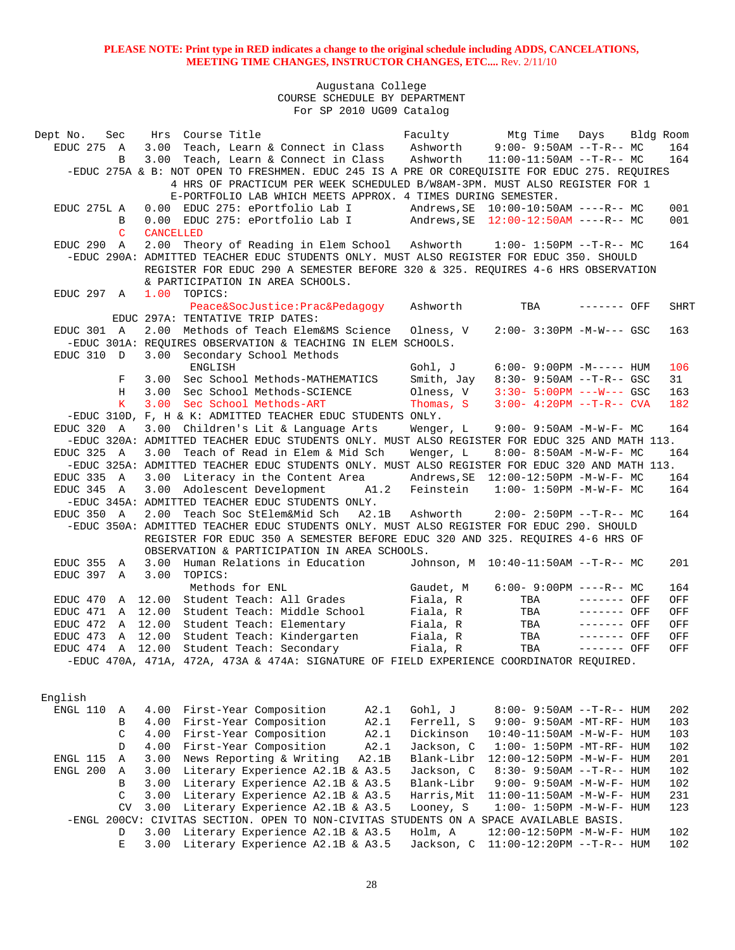| Dept No.       | Sec             |                  | Hrs Course Title                                                                               |             | Faculty Mtg Time Days Bldg Room     |              |             |  |
|----------------|-----------------|------------------|------------------------------------------------------------------------------------------------|-------------|-------------------------------------|--------------|-------------|--|
| $EDUC$ 275 $A$ |                 |                  | 3.00 Teach, Learn & Connect in Class Ashworth 9:00-9:50AM --T-R-- MC                           |             |                                     |              | 164         |  |
|                | В               |                  | 3.00 Teach, Learn & Connect in Class Ashworth                                                  |             | $11:00-11:50AM$ --T-R-- MC          |              | 164         |  |
|                |                 |                  | -EDUC 275A & B: NOT OPEN TO FRESHMEN. EDUC 245 IS A PRE OR COREOUISITE FOR EDUC 275. REOUIRES  |             |                                     |              |             |  |
|                |                 |                  | 4 HRS OF PRACTICUM PER WEEK SCHEDULED B/W8AM-3PM. MUST ALSO REGISTER FOR 1                     |             |                                     |              |             |  |
|                |                 |                  | E-PORTFOLIO LAB WHICH MEETS APPROX. 4 TIMES DURING SEMESTER.                                   |             |                                     |              |             |  |
| EDUC 275L A    |                 |                  | 0.00 EDUC 275: ePortfolio Lab I                                                                |             |                                     |              | 001         |  |
|                | B               |                  | 0.00 EDUC 275: ePortfolio Lab I Andrews, SE $12:00-12:50AM$ ----R-- MC                         |             |                                     |              | 001         |  |
|                | C               | <b>CANCELLED</b> |                                                                                                |             |                                     |              |             |  |
|                |                 |                  | 2.00 Theory of Reading in Elem School Ashworth 1:00-1:50PM --T-R-- MC                          |             |                                     |              | 164         |  |
| EDUC 290 A     |                 |                  |                                                                                                |             |                                     |              |             |  |
|                |                 |                  | -EDUC 290A: ADMITTED TEACHER EDUC STUDENTS ONLY. MUST ALSO REGISTER FOR EDUC 350. SHOULD       |             |                                     |              |             |  |
|                |                 |                  | REGISTER FOR EDUC 290 A SEMESTER BEFORE 320 & 325. REOUIRES 4-6 HRS OBSERVATION                |             |                                     |              |             |  |
|                |                 |                  | & PARTICIPATION IN AREA SCHOOLS.                                                               |             |                                     |              |             |  |
| EDUC 297 A     |                 | 1.00             | TOPICS:                                                                                        |             |                                     |              |             |  |
|                |                 |                  | Peace&SocJustice:Prac&Pedagogy                                                                 | Ashworth    | TBA                                 | $------$ OFF | <b>SHRT</b> |  |
|                |                 |                  | EDUC 297A: TENTATIVE TRIP DATES:                                                               |             |                                     |              |             |  |
| EDUC 301 A     |                 |                  | 2.00 Methods of Teach Elem&MS Science Olness, V                                                |             | $2:00 - 3:30PM - M-W--- GSC$        |              | 163         |  |
|                |                 |                  | -EDUC 301A: REQUIRES OBSERVATION & TEACHING IN ELEM SCHOOLS.                                   |             |                                     |              |             |  |
| EDUC 310 D     |                 |                  | 3.00 Secondary School Methods                                                                  |             |                                     |              |             |  |
|                |                 |                  | ENGLISH                                                                                        | Gohl, J     | $6:00-9:00PM -M--- HUM$             |              | 106         |  |
|                | F               | 3.00             | Sec School Methods-MATHEMATICS                                                                 | Smith, Jay  | $8:30 - 9:50AM -T-R - GSC$          |              | 31          |  |
|                | Н               | 3.00             | Sec School Methods-SCIENCE                                                                     | Olness, V   | $3:30 - 5:00PM$ ---W--- GSC         |              | 163         |  |
|                | $K_{\parallel}$ | 3.00             | Sec School Methods-ART                                                                         | Thomas, S   | $3:00-4:20PM -T-R--CVA$             |              | 182         |  |
|                |                 |                  | -EDUC 310D, F, H & K: ADMITTED TEACHER EDUC STUDENTS ONLY.                                     |             |                                     |              |             |  |
| EDUC 320 A     |                 |                  | 3.00 Children's Lit & Language Arts                                                            | Wenger, L   | $9:00 - 9:50AM - M - W - F - MC$    |              | 164         |  |
|                |                 |                  | -EDUC 320A: ADMITTED TEACHER EDUC STUDENTS ONLY. MUST ALSO REGISTER FOR EDUC 325 AND MATH 113. |             |                                     |              |             |  |
| EDUC 325 A     |                 | 3.00             | Teach of Read in Elem & Mid Sch                                                                | Wenger, L   | 8:00- 8:50AM -M-W-F- MC             |              | 164         |  |
|                |                 |                  | -EDUC 325A: ADMITTED TEACHER EDUC STUDENTS ONLY. MUST ALSO REGISTER FOR EDUC 320 AND MATH 113. |             |                                     |              |             |  |
| EDUC 335 A     |                 |                  | 3.00 Literacy in the Content Area                                                              |             |                                     |              | 164         |  |
| EDUC 345 A     |                 |                  | 3.00 Adolescent Development A1.2                                                               |             | Feinstein 1:00- 1:50PM -M-W-F- MC   |              | 164         |  |
|                |                 |                  | -EDUC 345A: ADMITTED TEACHER EDUC STUDENTS ONLY.                                               |             |                                     |              |             |  |
| EDUC 350 A     |                 |                  | 2.00 Teach Soc StElem&Mid Sch<br>A2.1B                                                         | Ashworth    | $2:00-2:50PM -T-R--MC$              |              | 164         |  |
|                |                 |                  | -EDUC 350A: ADMITTED TEACHER EDUC STUDENTS ONLY. MUST ALSO REGISTER FOR EDUC 290. SHOULD       |             |                                     |              |             |  |
|                |                 |                  | REGISTER FOR EDUC 350 A SEMESTER BEFORE EDUC 320 AND 325. REQUIRES 4-6 HRS OF                  |             |                                     |              |             |  |
|                |                 |                  | OBSERVATION & PARTICIPATION IN AREA SCHOOLS.                                                   |             |                                     |              |             |  |
|                |                 |                  |                                                                                                |             | Johnson, M 10:40-11:50AM --T-R-- MC |              | 201         |  |
| EDUC 355       | A               | 3.00             | Human Relations in Education                                                                   |             |                                     |              |             |  |
| EDUC 397       | $\mathbb{A}$    | 3.00             | TOPICS:                                                                                        |             |                                     |              |             |  |
|                |                 |                  | Methods for ENL                                                                                | Gaudet, M   | $6:00 - 9:00PM$ ----R-- MC          |              | 164         |  |
| EDUC 470       |                 | A 12.00          | Student Teach: All Grades                                                                      | Fiala, R    | TBA                                 | $------$ OFF | OFF         |  |
| EDUC 471       |                 |                  | A 12.00 Student Teach: Middle School                                                           | Fiala, R    | TBA                                 | $------$ OFF | OFF         |  |
| EDUC 472       |                 | A 12.00          | Student Teach: Elementary                                                                      | Fiala, R    | TBA                                 | ------- OFF  | OFF         |  |
| EDUC 473       |                 | A 12.00          | Student Teach: Kindergarten                                                                    | Fiala, R    | TBA                                 | ------- OFF  | OFF         |  |
|                |                 |                  | EDUC 474 A 12.00 Student Teach: Secondary                                                      | Fiala, R    | TBA                                 | $------$ OFF | OFF         |  |
|                |                 |                  | -EDUC 470A, 471A, 472A, 473A & 474A: SIGNATURE OF FIELD EXPERIENCE COORDINATOR REQUIRED.       |             |                                     |              |             |  |
|                |                 |                  |                                                                                                |             |                                     |              |             |  |
|                |                 |                  |                                                                                                |             |                                     |              |             |  |
| English        |                 |                  |                                                                                                |             |                                     |              |             |  |
| ENGL 110       | Α               | 4.00             | First-Year Composition<br>A2.1                                                                 | Gohl, J     | $8:00 - 9:50AM -T-R-- HUM$          |              | 202         |  |
|                | B               | 4.00             | First-Year Composition<br>A2.1                                                                 | Ferrell, S  | 9:00- 9:50AM -MT-RF- HUM            |              | 103         |  |
|                | C               | 4.00             | First-Year Composition<br>A2.1                                                                 | Dickinson   | 10:40-11:50AM -M-W-F- HUM           |              | 103         |  |
|                | D               | 4.00             | First-Year Composition<br>A2.1                                                                 | Jackson, C  | $1:00-1:50PM -MT-RF - HUM$          |              | 102         |  |
| ENGL 115       | Α               | 3.00             | News Reporting & Writing<br>A2.1B                                                              | Blank-Libr  | 12:00-12:50PM -M-W-F- HUM           |              | 201         |  |
| ENGL 200       | Α               | 3.00             | Literary Experience A2.1B & A3.5                                                               | Jackson, C  | 8:30- 9:50AM --T-R-- HUM            |              | 102         |  |
|                | B               | 3.00             | Literary Experience A2.1B & A3.5                                                               | Blank-Libr  | 9:00- 9:50AM -M-W-F- HUM            |              | 102         |  |
|                | C               | 3.00             | Literary Experience A2.1B & A3.5                                                               | Harris, Mit | $11:00-11:50AM$ -M-W-F- HUM         |              | 231         |  |
|                | CV              | 3.00             | Literary Experience A2.1B & A3.5                                                               | Looney, S   | $1:00 - 1:50PM - M - W - F - HUM$   |              | 123         |  |
|                |                 |                  | -ENGL 200CV: CIVITAS SECTION. OPEN TO NON-CIVITAS STUDENTS ON A SPACE AVAILABLE BASIS.         |             |                                     |              |             |  |
|                | D               | 3.00             | Literary Experience A2.1B & A3.5                                                               | Holm, A     | 12:00-12:50PM -M-W-F- HUM           |              | 102         |  |
|                |                 |                  |                                                                                                |             |                                     |              |             |  |
|                | E               | 3.00             | Literary Experience A2.1B & A3.5                                                               | Jackson, C  | 11:00-12:20PM --T-R-- HUM           |              | 102         |  |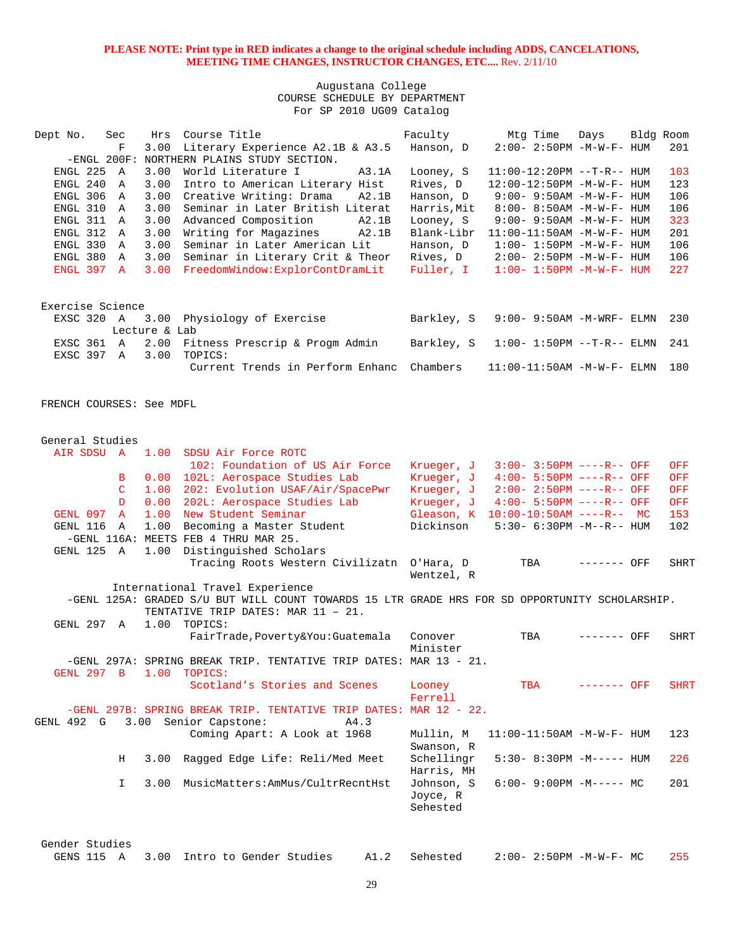Augustana College COURSE SCHEDULE BY DEPARTMENT For SP 2010 UG09 Catalog

| Dept No.         | Sec            | Hrs           | Course Title                     | Faculty     | Mtq Time                          | Days | Bldg Room |     |
|------------------|----------------|---------------|----------------------------------|-------------|-----------------------------------|------|-----------|-----|
|                  | F              | 3.00          | Literary Experience A2.1B & A3.5 | Hanson, D   | $2:00 - 2:50PM -M-W-F - HUM$      |      |           | 201 |
|                  | $-ENGL$ 200F:  |               | NORTHERN PLAINS STUDY SECTION.   |             |                                   |      |           |     |
| ENGL 225         | A              | 3.00          | World Literature I<br>A3.1A      | Looney, S   | $11:00-12:20PM --T-R--HUM$        |      |           | 103 |
| ENGL 240         | $\mathbb A$    | 3.00          | Intro to American Literary Hist  | Rives, D    | 12:00-12:50PM -M-W-F- HUM         |      |           | 123 |
| ENGL 306         | A              | 3.00          | Creative Writing: Drama<br>A2.1B | Hanson, D   | $9:00 - 9:50AM - M - W - F - HUM$ |      |           | 106 |
| ENGL 310         | A              | 3.00          | Seminar in Later British Literat | Harris, Mit | $8:00 - 8:50AM - M - W - F - HUM$ |      |           | 106 |
| ENGL 311         | A              | 3.00          | Advanced Composition<br>A2.1B    | Looney, S   | 9:00- 9:50AM -M-W-F- HUM          |      |           | 323 |
| ENGL 312         | $\overline{A}$ | 3.00          | Writing for Magazines<br>A2.1B   | Blank-Libr  | $11:00-11:50AM$ -M-W-F- HUM       |      |           | 201 |
| ENGL 330         | $\mathbb{A}$   | 3.00          | Seminar in Later American Lit    | Hanson, D   | $1:00 - 1:50PM - M - W - F - HUM$ |      |           | 106 |
| ENGL 380         | A              | 3.00          | Seminar in Literary Crit & Theor | Rives, D    | $2:00 - 2:50PM -M-W-F - HUM$      |      |           | 106 |
| ENGL 397 A       |                | 3.00          | FreedomWindow:ExplorContDramLit  | Fuller, I   | $1:00 - 1:50PM - M - W - F - HUM$ |      |           | 227 |
| Exercise Science |                |               |                                  |             |                                   |      |           |     |
| EXSC 320 A       |                |               | 3.00 Physiology of Exercise      | Barkley, S  | $9:00-9:50$ AM -M-WRF- ELMN       |      |           | 230 |
|                  |                | Lecture & Lab |                                  |             |                                   |      |           |     |
| EXSC 361         | $\mathbb A$    | 2.00          | Fitness Prescrip & Progm Admin   | Barkley, S  | $1:00 - 1:50PM -T-R--ELMN$        |      |           | 241 |
| EXSC 397         | A              | 3.00          | TOPICS:                          |             |                                   |      |           |     |
|                  |                |               | Current Trends in Perform Enhanc | Chambers    | $11:00-11:50$ AM $-M-W-F-$ ELMN   |      |           | 180 |

FRENCH COURSES: See MDFL

| General Studies   |               |      |                                                                                                |            |                                     |              |             |
|-------------------|---------------|------|------------------------------------------------------------------------------------------------|------------|-------------------------------------|--------------|-------------|
| AIR SDSU A 1.00   |               |      | SDSU Air Force ROTC                                                                            |            |                                     |              |             |
|                   |               |      | 102: Foundation of US Air Force                                                                | Krueger, J | $3:00 - 3:50PM$ ----R-- OFF         |              | OFF         |
|                   | в             | 0.00 | 102L: Aerospace Studies Lab                                                                    | Krueger, J | $4:00 - 5:50PM$ ----R-- OFF         |              | OFF         |
|                   | $\mathcal{C}$ | 1.00 | 202: Evolution USAF/Air/SpacePwr                                                               | Krueger, J | $2:00 - 2:50PM$ ----R-- OFF         |              | OFF         |
|                   | D             | 0.00 | 202L: Aerospace Studies Lab                                                                    | Krueger, J | $4:00 - 5:50PM$ ----R-- OFF         |              | OFF         |
| GENL 097          | <b>A</b>      | 1.00 | New Student Seminar                                                                            |            | Gleason, K 10:00-10:50AM ----R-- MC |              | 153         |
| GENL 116          | $\mathbb{A}$  | 1.00 | Becoming a Master Student                                                                      | Dickinson  | $5:30-6:30PM -M--R--HUM$            |              | 102         |
|                   |               |      | -GENL 116A: MEETS FEB 4 THRU MAR 25.                                                           |            |                                     |              |             |
| GENL 125 A        |               | 1.00 | Distinguished Scholars                                                                         |            |                                     |              |             |
|                   |               |      | Tracing Roots Western Civilizatn O'Hara, D                                                     |            | TBA                                 | $------$ OFF | <b>SHRT</b> |
|                   |               |      |                                                                                                | Wentzel, R |                                     |              |             |
|                   |               |      | International Travel Experience                                                                |            |                                     |              |             |
|                   |               |      | -GENL 125A: GRADED S/U BUT WILL COUNT TOWARDS 15 LTR GRADE HRS FOR SD OPPORTUNITY SCHOLARSHIP. |            |                                     |              |             |
|                   |               |      | TENTATIVE TRIP DATES: MAR 11 - 21.                                                             |            |                                     |              |             |
| GENL 297 A        |               | 1.00 | TOPICS:                                                                                        |            |                                     |              |             |
|                   |               |      | FairTrade, Poverty&You: Guatemala                                                              | Conover    | TBA                                 | $------$ OFF | SHRT        |
|                   |               |      |                                                                                                | Minister   |                                     |              |             |
|                   |               |      | -GENL 297A: SPRING BREAK TRIP. TENTATIVE TRIP DATES: MAR 13 - 21.                              |            |                                     |              |             |
| <b>GENL 297 B</b> |               | 1.00 | TOPICS:                                                                                        |            |                                     |              |             |
|                   |               |      | Scotland's Stories and Scenes                                                                  | Looney     | <b>TBA</b>                          | $-----$ OFF  | <b>SHRT</b> |
|                   |               |      |                                                                                                | Ferrell    |                                     |              |             |
|                   |               |      | -GENL 297B: SPRING BREAK TRIP. TENTATIVE TRIP DATES: MAR 12 - 22.                              |            |                                     |              |             |
| GENL 492 G        |               |      | 3.00 Senior Capstone:<br>A4.3                                                                  |            |                                     |              |             |
|                   |               |      | Coming Apart: A Look at 1968                                                                   | Mullin, M  | $11:00-11:50AM$ -M-W-F- HUM         |              | 123         |
|                   |               |      |                                                                                                | Swanson, R |                                     |              |             |
|                   | H             | 3.00 | Ragged Edge Life: Reli/Med Meet                                                                | Schellingr | $5:30-8:30PM -M--- HUM$             |              | 226         |
|                   |               |      |                                                                                                | Harris, MH |                                     |              |             |
|                   | $\mathbf{I}$  | 3.00 | MusicMatters: AmMus/CultrRecntHst                                                              | Johnson, S | $6:00 - 9:00PM -M--- MC$            |              | 201         |
|                   |               |      |                                                                                                | Joyce, R   |                                     |              |             |
|                   |               |      |                                                                                                | Sehested   |                                     |              |             |
|                   |               |      |                                                                                                |            |                                     |              |             |
|                   |               |      |                                                                                                |            |                                     |              |             |
| Gender Studies    |               |      |                                                                                                |            |                                     |              |             |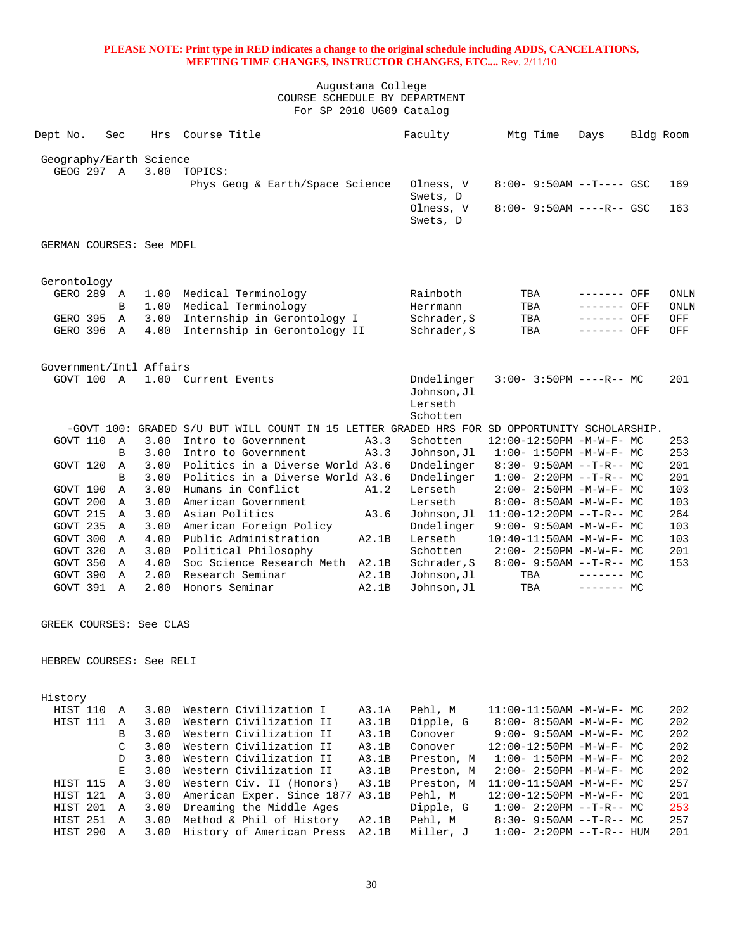Augustana College COURSE SCHEDULE BY DEPARTMENT For SP 2010 UG09 Catalog

|                          |              |      | Course Title                                                                                 |       | Faculty     |                             |             |           |             |
|--------------------------|--------------|------|----------------------------------------------------------------------------------------------|-------|-------------|-----------------------------|-------------|-----------|-------------|
| Dept No.                 | Sec          | Hrs  |                                                                                              |       |             | Mtg Time                    | Days        | Bldg Room |             |
| Geography/Earth Science  |              |      |                                                                                              |       |             |                             |             |           |             |
|                          | GEOG 297 A   | 3.00 | TOPICS:                                                                                      |       |             |                             |             |           |             |
|                          |              |      | Phys Geog & Earth/Space Science                                                              |       | Olness, V   | $8:00 - 9:50AM -T--- GSC$   |             |           | 169         |
|                          |              |      |                                                                                              |       | Swets, D    |                             |             |           |             |
|                          |              |      |                                                                                              |       | Olness, V   | $8:00 - 9:50AM$ ----R-- GSC |             |           | 163         |
|                          |              |      |                                                                                              |       | Swets, D    |                             |             |           |             |
|                          |              |      |                                                                                              |       |             |                             |             |           |             |
| GERMAN COURSES: See MDFL |              |      |                                                                                              |       |             |                             |             |           |             |
| Gerontology              |              |      |                                                                                              |       |             |                             |             |           |             |
| GERO 289                 | A            | 1.00 | Medical Terminology                                                                          |       | Rainboth    | TBA                         | ------- OFF |           | <b>ONLN</b> |
|                          | B            | 1.00 | Medical Terminology                                                                          |       | Herrmann    | TBA                         | ------- OFF |           | <b>ONLN</b> |
| GERO 395                 | $\mathbb{A}$ | 3.00 | Internship in Gerontology I                                                                  |       | Schrader, S | TBA                         | ------- OFF |           | OFF         |
| GERO 396                 | $\mathbb{A}$ | 4.00 | Internship in Gerontology II                                                                 |       | Schrader, S | TBA                         | ------- OFF |           | OFF         |
|                          |              |      |                                                                                              |       |             |                             |             |           |             |
| Government/Intl Affairs  |              |      |                                                                                              |       |             |                             |             |           |             |
| GOVT 100 A               |              |      | 1.00 Current Events                                                                          |       | Dndelinger  | $3:00 - 3:50PM$ ----R-- MC  |             |           | 201         |
|                          |              |      |                                                                                              |       | Johnson, Jl |                             |             |           |             |
|                          |              |      |                                                                                              |       | Lerseth     |                             |             |           |             |
|                          |              |      |                                                                                              |       | Schotten    |                             |             |           |             |
|                          |              |      | -GOVT 100: GRADED S/U BUT WILL COUNT IN 15 LETTER GRADED HRS FOR SD OPPORTUNITY SCHOLARSHIP. |       |             |                             |             |           |             |
| GOVT 110                 | $\mathbb{A}$ | 3.00 | Intro to Government                                                                          | A3.3  | Schotten    | 12:00-12:50PM -M-W-F- MC    |             |           | 253         |
|                          | B            | 3.00 | Intro to Government                                                                          | A3.3  | Johnson, Jl | $1:00 - 1:50PM -M-W-F - MC$ |             |           | 253         |
| GOVT 120                 | Α            | 3.00 | Politics in a Diverse World A3.6                                                             |       | Dndelinger  | $8:30 - 9:50AM -T-R-- MC$   |             |           | 201         |
|                          | <sub>R</sub> | 3.00 | Politics in a Diverse World A3.6                                                             |       | Dndelinger  | $1:00-2:20PM -T-R--MC$      |             |           | 201         |
| GOVT 190                 | Α            | 3.00 | Humans in Conflict                                                                           | A1.2  | Lerseth     | $2:00 - 2:50PM -M-W-F-MC$   |             |           | 103         |
| GOVT 200                 | Α            | 3.00 | American Government                                                                          |       | Lerseth     | 8:00- 8:50AM -M-W-F- MC     |             |           | 103         |
| GOVT 215                 | A            | 3.00 | Asian Politics                                                                               | A3.6  | Johnson, Jl | $11:00-12:20PM$ --T-R-- MC  |             |           | 264         |
| GOVT 235                 | A            | 3.00 | American Foreign Policy                                                                      |       | Dndelinger  | $9:00 - 9:50AM -M-W-F - MC$ |             |           | 103         |
| GOVT 300                 | A            | 4.00 | Public Administration                                                                        | A2.1B | Lerseth     | 10:40-11:50AM -M-W-F- MC    |             |           | 103         |
| GOVT 320                 | A            | 3.00 | Political Philosophy                                                                         |       | Schotten    | $2:00 - 2:50PM -M-W-F - MC$ |             |           | 201         |
| GOVT 350                 | A            | 4.00 | Soc Science Research Meth                                                                    | A2.1B | Schrader, S | $8:00 - 9:50AM -T-R-- MC$   |             |           | 153         |
| GOVT 390                 | $\mathbb{A}$ | 2.00 | Research Seminar                                                                             | A2.1B | Johnson, Jl | TBA                         | $------$ MC |           |             |
| GOVT 391                 | A            | 2.00 | Honors Seminar                                                                               | A2.1B | Johnson, Jl | TBA                         | $------$ MC |           |             |

GREEK COURSES: See CLAS

HEBREW COURSES: See RELI

| History         |                |      |                            |       |            |                                  |     |
|-----------------|----------------|------|----------------------------|-------|------------|----------------------------------|-----|
| HIST 110        | $\mathbb A$    | 3.00 | Western Civilization I     | A3.1A | Pehl, M    | $11:00-11:50AM - M-W-F - MC$     | 202 |
| <b>HIST 111</b> | $\Delta$       | 3.00 | Western Civilization II    | A3.1B | Dipple, G  | $8:00 - 8:50AM - M - W - F - MC$ | 202 |
|                 | <sub>R</sub>   | 3.00 | Western Civilization II    | A3.1B | Conover    | $9:00 - 9:50AM - M - W - F - MC$ | 202 |
|                 | $\mathcal{C}$  | 3.00 | Western Civilization II    | A3.1B | Conover    | $12:00-12:50PM -M-W-F-MC$        | 202 |
|                 | D.             | 3.00 | Western Civilization II    | A3.1B | Preston, M | $1:00 - 1:50PM - M - W - F - MC$ | 202 |
|                 | E.,            | 3.00 | Western Civilization II    | A3.1B | Preston, M | $2:00-2:50PM -M-W-F-MC$          | 202 |
| HIST 115        | $\overline{A}$ | 3.00 | Western Civ. II (Honors)   | A3.1B | Preston, M | $11:00-11:50AM$ $-M-W-F-$ MC     | 257 |
| <b>HIST 121</b> | A              | 3.00 | American Exper. Since 1877 | A3.1B | Pehl, M    | 12:00-12:50PM -M-W-F- MC         | 201 |
| <b>HIST 201</b> | A              | 3.00 | Dreaming the Middle Ages   |       | Dipple, G  | $1:00-2:20PM --T-R--MC$          | 253 |
| <b>HIST 251</b> | $\overline{A}$ | 3.00 | Method & Phil of History   | A2.1B | Pehl, M    | $8:30 - 9:50AM -T-R--MC$         | 257 |
| HIST 290        | $\mathbf{A}$   | 3.00 | History of American Press  | A2.1B | Miller, J  | $1:00-2:20PM --T-R--HIM$         | 201 |
|                 |                |      |                            |       |            |                                  |     |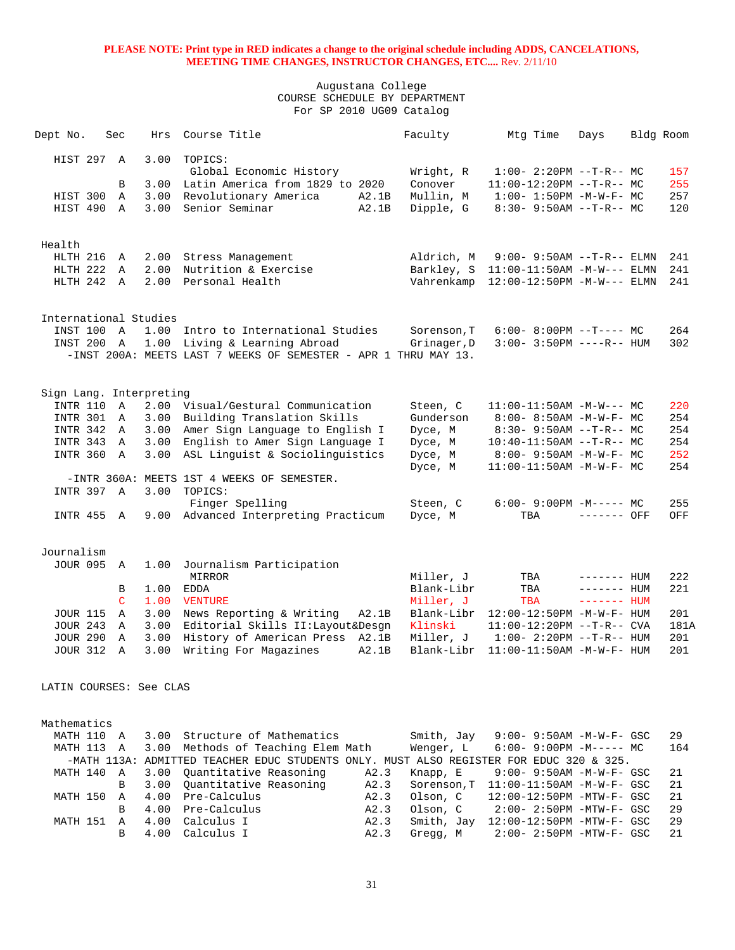| Dept No.                                   | Sec          | Hrs          | Course Title                                                                                |              | Faculty                | Mtg Time                                                       | Days         | Bldg Room |          |
|--------------------------------------------|--------------|--------------|---------------------------------------------------------------------------------------------|--------------|------------------------|----------------------------------------------------------------|--------------|-----------|----------|
| HIST 297 A                                 |              | 3.00         | TOPICS:<br>Global Economic History                                                          |              | Wright, R              | $1:00-2:20PM -T-R--MC$                                         |              |           | 157      |
|                                            | B            | 3.00         | Latin America from 1829 to 2020                                                             |              | Conover                | $11:00-12:20PM$ --T-R-- MC                                     |              |           | 255      |
| HIST 300                                   | $\mathbb A$  | 3.00         | Revolutionary America                                                                       | A2.1B        | Mullin, M              | $1:00 - 1:50PM - M - W - F - MC$                               |              |           | 257      |
| HIST 490 A                                 |              | 3.00         | Senior Seminar                                                                              | A2.1B        | Dipple, G              | $8:30 - 9:50AM -T-R-- MC$                                      |              |           | 120      |
|                                            |              |              |                                                                                             |              |                        |                                                                |              |           |          |
| Health                                     |              |              |                                                                                             |              |                        |                                                                |              |           |          |
| HLTH 216                                   | A            | 2.00         | Stress Management                                                                           |              | Aldrich, M             | $9:00 - 9:50AM -T-R--ELMN$                                     |              |           | 241      |
| HLTH 222                                   | Α            | 2.00         | Nutrition & Exercise                                                                        |              | Barkley, S             | $11:00-11:50AM -M-W---$ ELMN                                   |              |           | 241      |
| HLTH 242 A                                 |              | 2.00         | Personal Health                                                                             |              | Vahrenkamp             | $12:00-12:50PM -M-W---$ ELMN                                   |              |           | 241      |
|                                            |              |              |                                                                                             |              |                        |                                                                |              |           |          |
| International Studies                      |              |              |                                                                                             |              |                        |                                                                |              |           |          |
| INST 100 A                                 |              | 1.00         | Intro to International Studies                                                              |              | Sorenson, T            | $6:00-8:00PM$ --T---- MC                                       |              |           | 264      |
| INST 200 A                                 |              | 1.00         | Living & Learning Abroad<br>-INST 200A: MEETS LAST 7 WEEKS OF SEMESTER - APR 1 THRU MAY 13. |              | Grinager, D            | $3:00-3:50PM$ ----R-- HUM                                      |              |           | 302      |
|                                            |              |              |                                                                                             |              |                        |                                                                |              |           |          |
|                                            |              |              |                                                                                             |              |                        |                                                                |              |           |          |
| Sign Lang. Interpreting<br><b>INTR 110</b> | A            | 2.00         | Visual/Gestural Communication                                                               |              |                        |                                                                |              |           | 220      |
| <b>INTR 301</b>                            | A            | 3.00         | Building Translation Skills                                                                 |              | Steen, C<br>Gunderson  | $11:00-11:50AM$ -M-W--- MC<br>$8:00 - 8:50AM - M - W - F - MC$ |              |           | 254      |
| INTR 342 A                                 |              | 3.00         | Amer Sign Language to English I                                                             |              | Dyce, M                | $8:30-9:50AM --T-R--MC$                                        |              |           | 254      |
| <b>INTR 343</b>                            | Α            | 3.00         | English to Amer Sign Language I                                                             |              | Dyce, M                | $10:40-11:50AM$ --T-R-- MC                                     |              |           | 254      |
| INTR 360                                   | A            | 3.00         | ASL Linguist & Sociolinguistics                                                             |              | Dyce, M                | $8:00 - 9:50AM - M - W - F - MC$                               |              |           | 252      |
|                                            |              |              |                                                                                             |              | Dyce, M                | 11:00-11:50AM -M-W-F- MC                                       |              |           | 254      |
|                                            |              |              | -INTR 360A: MEETS 1ST 4 WEEKS OF SEMESTER.                                                  |              |                        |                                                                |              |           |          |
| INTR 397 A                                 |              | 3.00         | TOPICS:                                                                                     |              |                        |                                                                |              |           |          |
|                                            |              |              | Finger Spelling                                                                             |              | Steen, C               | $6:00-9:00PM -M--- MC$                                         |              |           | 255      |
| INTR 455 A                                 |              |              | 9.00 Advanced Interpreting Practicum                                                        |              | Dyce, M                | TBA                                                            | ------- OFF  |           | OFF      |
|                                            |              |              |                                                                                             |              |                        |                                                                |              |           |          |
| Journalism                                 |              |              |                                                                                             |              |                        |                                                                |              |           |          |
| JOUR 095                                   | A            | 1.00         | Journalism Participation<br>MIRROR                                                          |              | Miller, J              | TBA                                                            | $------$ HUM |           | 222      |
|                                            | В            | 1.00         | EDDA                                                                                        |              | Blank-Libr             | TBA                                                            | ------- HUM  |           | 221      |
|                                            | C            | 1.00         | <b>VENTURE</b>                                                                              |              | Miller, J              | <b>TBA</b>                                                     | $------$ HUM |           |          |
| <b>JOUR 115</b>                            | A            | 3.00         | News Reporting & Writing                                                                    | A2.1B        | Blank-Libr             | $12:00-12:50PM -M-W-F- HUM$                                    |              |           | 201      |
| <b>JOUR 243</b>                            | A            | 3.00         | Editorial Skills II: Layout& Desgn                                                          |              | Klinski                | $11:00-12:20PM$ --T-R-- CVA                                    |              |           | 181A     |
| <b>JOUR 290</b>                            | Α            | 3.00         | History of American Press A2.1B                                                             |              | Miller, J              | $1:00 - 2:20PM -T-R--HUM$                                      |              |           | 201      |
| <b>JOUR 312</b>                            | $\mathbb{A}$ | 3.00         | Writing For Magazines                                                                       | A2.1B        | Blank-Libr             | $11:00-11:50AM$ -M-W-F- HUM                                    |              |           | 201      |
|                                            |              |              |                                                                                             |              |                        |                                                                |              |           |          |
| LATIN COURSES: See CLAS                    |              |              |                                                                                             |              |                        |                                                                |              |           |          |
|                                            |              |              |                                                                                             |              |                        |                                                                |              |           |          |
| Mathematics                                |              |              |                                                                                             |              |                        |                                                                |              |           |          |
| MATH 110 A                                 |              | 3.00         | Structure of Mathematics                                                                    |              | Smith, Jay             | $9:00 - 9:50AM - M - W - F - GSC$                              |              |           | 29       |
| MATH 113                                   | $\mathbb A$  | 3.00         | Methods of Teaching Elem Math                                                               |              | Wenger, L              | $6:00-9:00PM -M--- MC$                                         |              |           | 164      |
|                                            |              |              | -MATH 113A: ADMITTED TEACHER EDUC STUDENTS ONLY. MUST ALSO REGISTER FOR EDUC 320 & 325.     |              |                        |                                                                |              |           |          |
| MATH 140                                   | A            | 3.00         | Quantitative Reasoning                                                                      | A2.3         | Knapp, E               | $9:00 - 9:50AM - M - W - F - GSC$                              |              |           | 21       |
|                                            | B            | 3.00         | Quantitative Reasoning                                                                      | A2.3         | Sorenson, T            | $11:00-11:50AM$ -M-W-F- GSC                                    |              |           | 21       |
| MATH 150                                   | Α<br>B       | 4.00         | Pre-Calculus                                                                                | A2.3         | Olson, C               | 12:00-12:50PM -MTW-F- GSC                                      |              |           | 21       |
| MATH 151                                   | $\mathbb{A}$ | 4.00<br>4.00 | Pre-Calculus<br>Calculus I                                                                  | A2.3<br>A2.3 | Olson, C<br>Smith, Jay | 2:00- 2:50PM -MTW-F- GSC<br>12:00-12:50PM -MTW-F- GSC          |              |           | 29<br>29 |
|                                            | B            | 4.00         | Calculus I                                                                                  | A2.3         | Gregg, M               | 2:00- 2:50PM -MTW-F- GSC                                       |              |           | 21       |
|                                            |              |              |                                                                                             |              |                        |                                                                |              |           |          |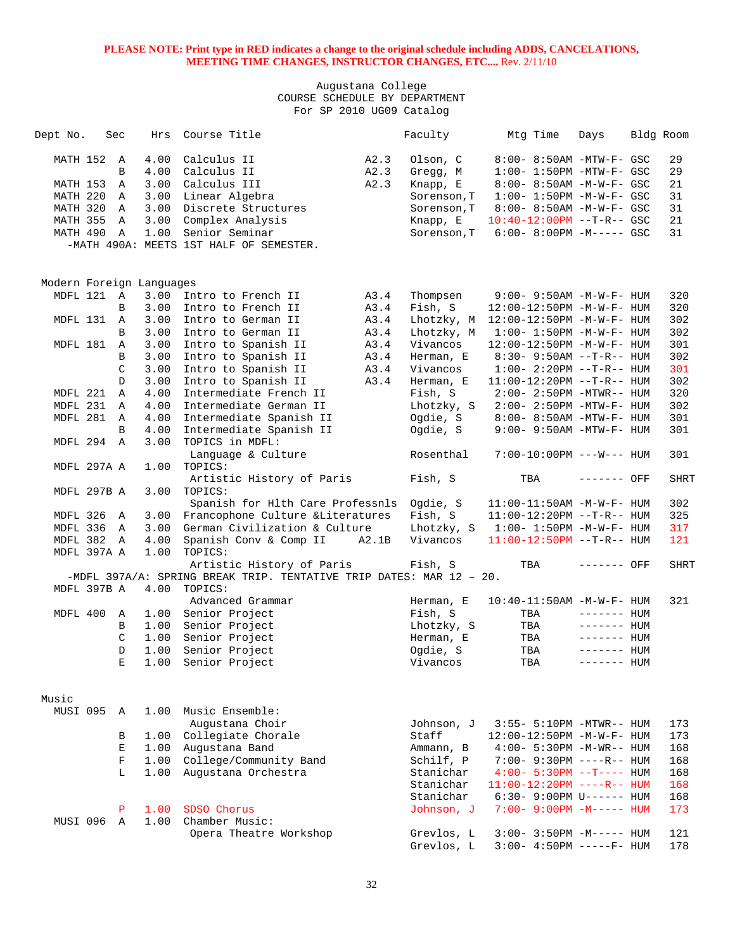| Dept No. |                   | Sec            | Hrs                      | Course Title                                                        |       | Faculty                  | Mtg Time                                                 | Days         | Bldg Room   |
|----------|-------------------|----------------|--------------------------|---------------------------------------------------------------------|-------|--------------------------|----------------------------------------------------------|--------------|-------------|
|          | MATH 152          | $\overline{A}$ | 4.00                     | Calculus II                                                         | A2.3  | Olson, C                 | 8:00- 8:50AM -MTW-F- GSC                                 |              | 29          |
|          |                   | B              | 4.00                     | Calculus II                                                         | A2.3  | Gregg, M                 | $1:00-1:50PM -MTW-F-GSC$                                 |              | 29          |
|          | MATH 153          | A              | 3.00                     | Calculus III                                                        | A2.3  | Knapp, E                 | 8:00- 8:50AM -M-W-F- GSC                                 |              | 21          |
|          | MATH 220          | A              | 3.00                     | Linear Algebra                                                      |       | Sorenson, T              | $1:00 - 1:50PM - M - W - F - GSC$                        |              | 31          |
|          | MATH 320          | A              | 3.00                     | Discrete Structures                                                 |       | Sorenson, T              | 8:00- 8:50AM -M-W-F- GSC                                 |              | 31          |
|          | MATH 355          | A              | 3.00                     | Complex Analysis                                                    |       | Knapp, E                 | $10:40-12:00PM$ --T-R-- GSC                              |              | 21          |
|          | MATH 490          | $\mathbb{A}$   | 1.00                     | Senior Seminar                                                      |       | Sorenson, T              | $6:00 - 8:00PM -M--- GSC$                                |              | 31          |
|          |                   |                |                          | -MATH 490A: MEETS 1ST HALF OF SEMESTER.                             |       |                          |                                                          |              |             |
|          |                   |                |                          |                                                                     |       |                          |                                                          |              |             |
|          |                   |                | Modern Foreign Languages |                                                                     |       |                          |                                                          |              |             |
|          | MDFL 121 A        |                | 3.00                     | Intro to French II                                                  | A3.4  | Thompsen                 | $9:00 - 9:50AM - M - W - F - HUM$                        |              | 320         |
|          |                   | B              | 3.00                     | Intro to French II                                                  | A3.4  | Fish, S                  | 12:00-12:50PM -M-W-F- HUM                                |              | 320         |
|          | MDFL 131 A        |                | 3.00                     | Intro to German II                                                  | A3.4  | Lhotzky, M               | 12:00-12:50PM -M-W-F- HUM                                |              | 302         |
|          |                   | B              | 3.00                     | Intro to German II                                                  | A3.4  | Lhotzky, M               | $1:00 - 1:50PM -M-W-F - HUM$                             |              | 302         |
|          | MDFL 181          | $\mathbb A$    | 3.00                     | Intro to Spanish II                                                 | A3.4  | Vivancos                 | 12:00-12:50PM -M-W-F- HUM                                |              | 301         |
|          |                   | B              | 3.00                     | Intro to Spanish II                                                 | A3.4  | Herman, E                | $8:30 - 9:50AM -T-R-- HUM$                               |              | 302         |
|          |                   | C              | 3.00                     | Intro to Spanish II                                                 | A3.4  | Vivancos                 | $1:00 - 2:20PM -T-R--HUM$                                |              | 301         |
|          |                   | D              | 3.00                     | Intro to Spanish II                                                 | A3.4  | Herman, E                | $11:00-12:20PM$ --T-R-- HUM                              |              | 302         |
|          | MDFL 221          | A              | 4.00                     | Intermediate French II                                              |       | Fish, S                  | $2:00-2:50PM -MTWR-- HUM$                                |              | 320         |
|          | MDFL 231          | A              | 4.00                     | Intermediate German II                                              |       | Lhotzky, S               | $2:00-2:50PM -MTW-F-HUM$                                 |              | 302         |
|          | MDFL 281          | A              | 4.00                     | Intermediate Spanish II                                             |       | Ogdie, S                 | 8:00- 8:50AM -MTW-F- HUM                                 |              | 301         |
|          |                   | B              | 4.00                     | Intermediate Spanish II                                             |       | Ogdie, S                 | $9:00 - 9:50AM - MTW-F - HUM$                            |              | 301         |
|          | MDFL 294          | $\mathbb{A}$   | 3.00                     | TOPICS in MDFL:<br>Language & Culture                               |       | Rosenthal                | 7:00-10:00PM ---W--- HUM                                 |              | 301         |
|          | MDFL 297A A       |                | 1.00                     | TOPICS:                                                             |       |                          |                                                          |              |             |
|          |                   |                |                          | Artistic History of Paris                                           |       | Fish, S                  | TBA                                                      | ------- OFF  | <b>SHRT</b> |
|          | MDFL 297B A       |                | 3.00                     | TOPICS:                                                             |       |                          |                                                          |              |             |
|          |                   |                |                          | Spanish for Hlth Care Professnls                                    |       | Ogdie, S                 | $11:00-11:50AM$ -M-W-F- HUM                              |              | 302         |
|          | MDFL 326          | A              | 3.00                     | Francophone Culture &Literatures                                    |       | Fish, S                  | $11:00-12:20PM$ --T-R-- HUM                              |              | 325         |
|          | MDFL 336          | A              | 3.00                     | German Civilization & Culture                                       |       | Lhotzky, S               | $1:00 - 1:50PM - M - W - F - HUM$                        |              | 317         |
|          | MDFL 382 A        |                | 4.00                     | Spanish Conv & Comp II                                              | A2.1B | Vivancos                 | $11:00-12:50PM$ --T-R-- HUM                              |              | 121         |
|          | MDFL 397A A       |                | 1.00                     | TOPICS:                                                             |       |                          |                                                          |              |             |
|          |                   |                |                          | Artistic History of Paris                                           |       | Fish, S                  | TBA                                                      | $------$ OFF | <b>SHRT</b> |
|          |                   |                |                          | -MDFL 397A/A: SPRING BREAK TRIP. TENTATIVE TRIP DATES: MAR 12 - 20. |       |                          |                                                          |              |             |
|          | MDFL 397B A       |                | 4.00                     | TOPICS:                                                             |       |                          |                                                          |              |             |
|          |                   |                |                          | Advanced Grammar                                                    |       | Herman, E                | 10:40-11:50AM -M-W-F- HUM                                |              | 321         |
|          | MDFL 400          | A              | 1.00                     | Senior Project                                                      |       | Fish, S                  | TBA                                                      | $------$ HUM |             |
|          |                   | В              | 1.00                     | Senior Project                                                      |       | Lhotzky, S               | TBA                                                      | $------$ HUM |             |
|          |                   | C              | 1.00                     | Senior Project                                                      |       | Herman, E                | TBA                                                      | $------$ HUM |             |
|          |                   | D              | 1.00                     | Senior Project                                                      |       | Ogdie, S                 | TBA                                                      | $------$ HUM |             |
|          |                   | Е              |                          | 1.00 Senior Project                                                 |       | Vivancos                 | TBA                                                      | $------HUM$  |             |
|          |                   |                |                          |                                                                     |       |                          |                                                          |              |             |
| Music    |                   |                |                          |                                                                     |       |                          |                                                          |              |             |
|          | MUSI 095          | A              | 1.00                     | Music Ensemble:                                                     |       |                          |                                                          |              |             |
|          |                   |                |                          | Augustana Choir                                                     |       | Johnson, J               | 3:55- 5:10PM -MTWR-- HUM                                 |              | 173         |
|          |                   | В              | 1.00                     | Collegiate Chorale                                                  |       | Staff                    | 12:00-12:50PM -M-W-F- HUM                                |              | 173         |
|          |                   | Ε              | 1.00                     | Augustana Band                                                      |       | Ammann, B                | $4:00 - 5:30PM -M-WR-- HUM$                              |              | 168         |
|          |                   | $\mathbf F$    | 1.00                     | College/Community Band                                              |       | Schilf, P                | 7:00- 9:30PM ----R-- HUM                                 |              | 168         |
|          |                   | L              | 1.00                     | Augustana Orchestra                                                 |       | Stanichar                | $4:00 - 5:30PM -T--- HUM$                                |              | 168         |
|          |                   |                |                          |                                                                     |       | Stanichar                | $11:00-12:20PM$ ----R-- HUM                              |              | 168         |
|          |                   |                |                          | SDSO Chorus                                                         |       | Stanichar                | 6:30- 9:00PM U------ HUM                                 |              | 168         |
|          |                   | P              | 1.00                     |                                                                     |       | Johnson, J               | 7:00- 9:00PM -M----- HUM                                 |              | 173         |
|          | <b>MUSI 096 A</b> |                | 1.00                     | Chamber Music:                                                      |       |                          |                                                          |              | 121         |
|          |                   |                |                          | Opera Theatre Workshop                                              |       | Grevlos, L<br>Grevlos, L | $3:00 - 3:50PM -M-----$ HUM<br>$3:00-4:50PM$ -----F- HUM |              | 178         |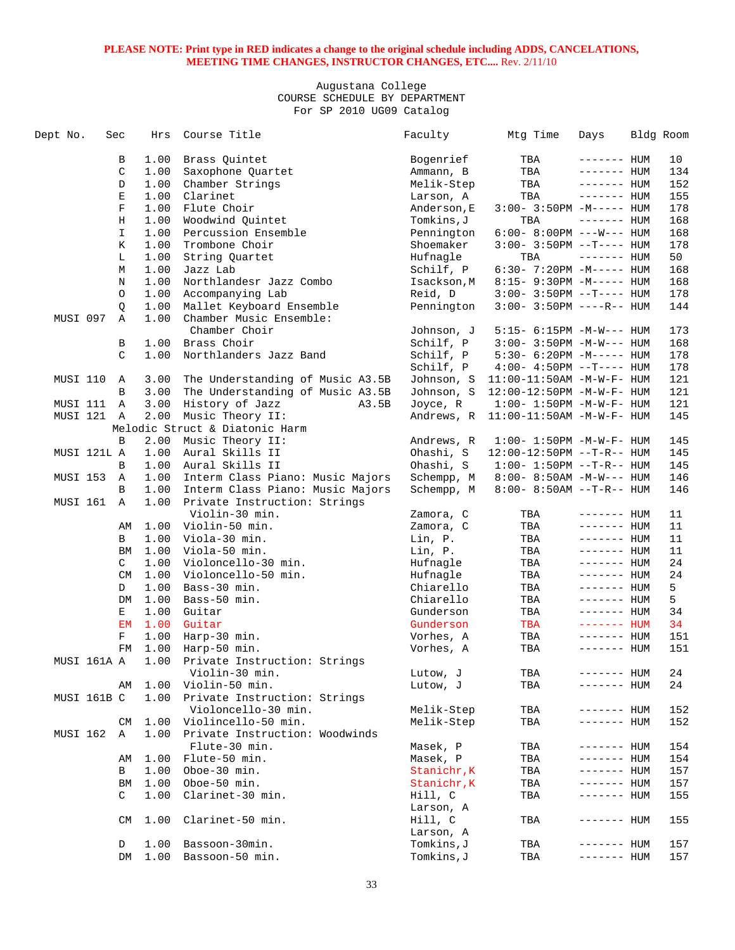| Dept No. |             | Sec           | Hrs  | Course Title                     | Faculty     | Mtg Time                                 | Days               | Bldg Room |
|----------|-------------|---------------|------|----------------------------------|-------------|------------------------------------------|--------------------|-----------|
|          |             | В             | 1.00 | Brass Quintet                    | Bogenrief   | TBA                                      | $------$ HUM       | 10        |
|          |             | $\mathsf C$   | 1.00 | Saxophone Quartet                | Ammann, B   | TBA                                      | ------- HUM        | 134       |
|          |             | $\mathbb D$   | 1.00 | Chamber Strings                  | Melik-Step  | TBA                                      | $------$ HUM       | 152       |
|          |             | Ε             | 1.00 | Clarinet                         | Larson, A   | TBA                                      | $------$ HUM       | 155       |
|          |             | $\mathbf F$   | 1.00 | Flute Choir                      | Anderson, E | $3:00-3:50PM -M-----$ HUM                |                    | 178       |
|          |             |               |      |                                  |             |                                          |                    |           |
|          |             | H             | 1.00 | Woodwind Quintet                 | Tomkins,J   | TBA                                      | $------$ HUM       | 168       |
|          |             | I.            | 1.00 | Percussion Ensemble              | Pennington  | $6:00-8:00PM$ ---W--- HUM                |                    | 168       |
|          |             | К             | 1.00 | Trombone Choir                   | Shoemaker   | $3:00 - 3:50PM -T--- HUM$                |                    | 178       |
|          |             | L             | 1.00 | String Ouartet                   | Hufnagle    | TBA                                      | $------$ HUM       | 50        |
|          |             | М             | 1.00 | Jazz Lab                         | Schilf, P   | $6:30 - 7:20PM -M-----$ HUM              |                    | 168       |
|          |             | N             | 1.00 | Northlandesr Jazz Combo          | Isackson, M | 8:15- 9:30PM -M----- HUM                 |                    | 168       |
|          |             | $\circ$       | 1.00 | Accompanying Lab                 | Reid, D     | $3:00 - 3:50PM -T--- HUM$                |                    | 178       |
|          |             | Q             | 1.00 | Mallet Keyboard Ensemble         | Pennington  | $3:00 - 3:50PM$ ----R-- HUM              |                    | 144       |
| MUSI 097 |             | Α             | 1.00 | Chamber Music Ensemble:          |             |                                          |                    |           |
|          |             |               |      | Chamber Choir                    | Johnson, J  | 5:15- 6:15PM -M-W--- HUM                 |                    | 173       |
|          |             | В             | 1.00 | Brass Choir                      | Schilf, P   | $3:00 - 3:50PM -M-W---$ HUM              |                    | 168       |
|          |             | $\mathcal{C}$ | 1.00 | Northlanders Jazz Band           | Schilf, P   |                                          |                    | 178       |
|          |             |               |      |                                  |             | $5:30-6:20PM -M-----$ HUM                |                    |           |
|          |             |               |      |                                  | Schilf, P   | $4:00-4:50PM -T--- HUM$                  |                    | 178       |
| MUSI 110 |             | A             | 3.00 | The Understanding of Music A3.5B | Johnson, S  | 11:00-11:50AM -M-W-F- HUM                |                    | 121       |
|          |             | B             | 3.00 | The Understanding of Music A3.5B |             | Johnson, S 12:00-12:50PM -M-W-F- HUM     |                    | 121       |
| MUSI 111 |             | $\mathbb A$   | 3.00 | History of Jazz<br>A3.5B         | Joyce, R    | $1:00 - 1:50PM - M - W - F - HUM$        |                    | 121       |
|          | MUSI 121 A  |               | 2.00 | Music Theory II:                 |             | Andrews, $R$ 11:00-11:50AM $-M-W-F-$ HUM |                    | 145       |
|          |             |               |      | Melodic Struct & Diatonic Harm   |             |                                          |                    |           |
|          |             | B             | 2.00 | Music Theory II:                 | Andrews, R  | $1:00 - 1:50PM - M - W - F - HUM$        |                    | 145       |
|          | MUSI 121L A |               | 1.00 | Aural Skills II                  | Ohashi, S   | $12:00-12:50PM$ --T-R-- HUM              |                    | 145       |
|          |             | B             | 1.00 | Aural Skills II                  | Ohashi, S   | $1:00 - 1:50PM -T-R-- HUM$               |                    | 145       |
| MUSI 153 |             | Α             | 1.00 | Interm Class Piano: Music Majors | Schempp, M  | $8:00 - 8:50AM - M-W--- HUM$             |                    | 146       |
|          |             | B             | 1.00 | Interm Class Piano: Music Majors | Schempp, M  | $8:00 - 8:50AM -T-R-- HUM$               |                    | 146       |
| MUSI 161 |             | $\mathbb{A}$  | 1.00 | Private Instruction: Strings     |             |                                          |                    |           |
|          |             |               |      |                                  |             |                                          |                    |           |
|          |             |               |      | Violin-30 min.                   | Zamora, C   | TBA                                      | ------- HUM        | 11        |
|          |             | AΜ            | 1.00 | Violin-50 min.                   | Zamora, C   | TBA                                      | ------- HUM        | 11        |
|          |             | B             | 1.00 | Viola-30 min.                    | Lin, P.     | TBA                                      | ------- HUM        | 11        |
|          |             | BM            | 1.00 | Viola-50 min.                    | Lin, P.     | TBA                                      | $------$ HUM       | 11        |
|          |             | C             | 1.00 | Violoncello-30 min.              | Hufnagle    | TBA                                      | $------$ HUM       | 24        |
|          |             | CM            | 1.00 | Violoncello-50 min.              | Hufnagle    | TBA                                      | $------$ HUM       | 24        |
|          |             | D             | 1.00 | Bass-30 min.                     | Chiarello   | TBA                                      | ------- HUM        | 5         |
|          |             | DM            | 1.00 | Bass-50 min.                     | Chiarello   | TBA                                      | $------$ HUM       | 5         |
|          |             | Е             | 1.00 | Guitar                           | Gunderson   | TBA                                      | $------$ HUM       | 34        |
|          |             | EM            | 1.00 | Guitar                           | Gunderson   | TBA                                      | ------- HUM        | 34        |
|          |             | $\rm F$       | 1.00 | Harp-30 min.                     | Vorhes, A   | TBA                                      | $------$ HUM       | 151       |
|          |             | FM            | 1.00 | Harp-50 min.                     | Vorhes, A   | TBA                                      | $------$ HUM       | 151       |
|          | MUSI 161A A |               | 1.00 | Private Instruction: Strings     |             |                                          |                    |           |
|          |             |               |      | Violin-30 min.                   | Lutow, J    | TBA                                      | ------- <b>HUM</b> | 24        |
|          |             |               | 1.00 | Violin-50 min.                   | Lutow, J    | TBA                                      | ------- HUM        | 24        |
|          |             | AΜ            |      |                                  |             |                                          |                    |           |
|          | MUSI 161B C |               | 1.00 | Private Instruction: Strings     |             |                                          |                    |           |
|          |             |               |      | Violoncello-30 min.              | Melik-Step  | TBA                                      | ------- HUM        | 152       |
|          |             | CМ            | 1.00 | Violincello-50 min.              | Melik-Step  | TBA                                      | ------- HUM        | 152       |
| MUSI 162 |             | Α             | 1.00 | Private Instruction: Woodwinds   |             |                                          |                    |           |
|          |             |               |      | Flute-30 min.                    | Masek, P    | TBA                                      | ------- HUM        | 154       |
|          |             | AΜ            | 1.00 | Flute-50 min.                    | Masek, P    | TBA                                      | $------$ HUM       | 154       |
|          |             | В             | 1.00 | Oboe-30 min.                     | Stanichr, K | TBA                                      | ------- HUM        | 157       |
|          |             | ВM            | 1.00 | Oboe-50 min.                     | Stanichr, K | TBA                                      | ------- HUM        | 157       |
|          |             | C             | 1.00 | Clarinet-30 min.                 | Hill, C     | TBA                                      | ------- HUM        | 155       |
|          |             |               |      |                                  | Larson, A   |                                          |                    |           |
|          |             | CM            | 1.00 | Clarinet-50 min.                 | Hill, C     | TBA                                      | $------$ HUM       | 155       |
|          |             |               |      |                                  | Larson, A   |                                          |                    |           |
|          |             |               |      |                                  |             |                                          |                    |           |
|          |             | D             | 1.00 | Bassoon-30min.                   | Tomkins,J   | TBA                                      | ------- <b>HUM</b> | 157       |
|          |             | DM            | 1.00 | Bassoon-50 min.                  | Tomkins, J  | TBA                                      | ------- <b>HUM</b> | 157       |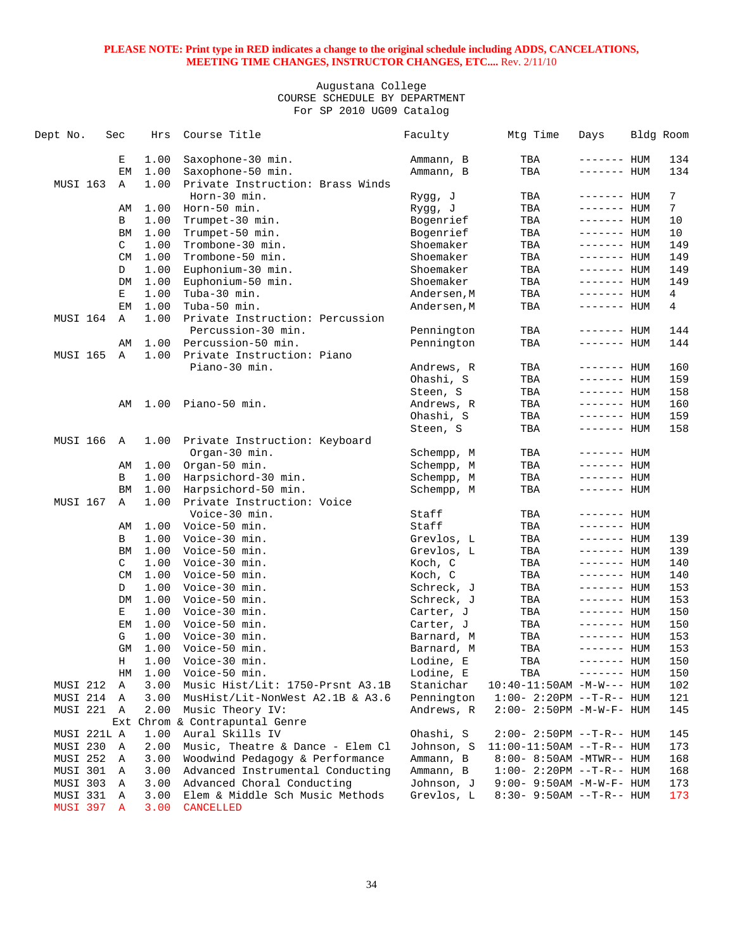| Dept No.        | Sec       | Hrs  | Course Title                     | Faculty     | Mtg Time                          | Days         | Bldg Room       |
|-----------------|-----------|------|----------------------------------|-------------|-----------------------------------|--------------|-----------------|
|                 | Е         | 1.00 | Saxophone-30 min.                | Ammann, B   | TBA                               | ------- HUM  | 134             |
|                 | ЕM        | 1.00 | Saxophone-50 min.                | Ammann, B   | TBA                               | ------- HUM  | 134             |
| <b>MUSI 163</b> | Α         | 1.00 | Private Instruction: Brass Winds |             |                                   |              |                 |
|                 |           |      | Horn-30 min.                     | Rygg, J     | TBA                               | ------- HUM  | 7               |
|                 | AΜ        | 1.00 | Horn-50 min.                     | Rygg, J     | TBA                               | ------- HUM  | 7               |
|                 | B         | 1.00 | Trumpet-30 min.                  | Bogenrief   | TBA                               | ------- HUM  | 10              |
|                 | BM        | 1.00 | Trumpet-50 min.                  | Bogenrief   | TBA                               | ------- HUM  | 10              |
|                 | C         | 1.00 | Trombone-30 min.                 | Shoemaker   | TBA                               | ------- HUM  | 149             |
|                 | <b>CM</b> | 1.00 | Trombone-50 min.                 | Shoemaker   | TBA                               | ------- HUM  | 149             |
|                 | D         | 1.00 | Euphonium-30 min.                | Shoemaker   | TBA                               | ------- HUM  | 149             |
|                 | DM        | 1.00 | Euphonium-50 min.                | Shoemaker   | TBA                               | ------- HUM  | 149             |
|                 | Е         | 1.00 | Tuba-30 min.                     | Andersen, M | TBA                               | ------- HUM  | $4\overline{ }$ |
|                 | EM        | 1.00 | Tuba-50 min.                     | Andersen, M | TBA                               | ------- HUM  | 4               |
| MUSI 164        | Α         | 1.00 | Private Instruction: Percussion  |             |                                   |              |                 |
|                 |           |      | Percussion-30 min.               | Pennington  | TBA                               | ------- HUM  | 144             |
|                 | AΜ        | 1.00 | Percussion-50 min.               | Pennington  | TBA                               | ------- HUM  | 144             |
| MUSI 165        | Α         | 1.00 | Private Instruction: Piano       |             |                                   |              |                 |
|                 |           |      | Piano-30 min.                    | Andrews, R  | TBA                               | $------$ HUM | 160             |
|                 |           |      |                                  | Ohashi, S   | TBA                               | ------- HUM  | 159             |
|                 |           |      |                                  | Steen, S    | TBA                               | ------- HUM  | 158             |
|                 | AΜ        | 1.00 | Piano-50 min.                    | Andrews, R  | TBA                               | ------- HUM  | 160             |
|                 |           |      |                                  | Ohashi, S   | TBA                               | ------- HUM  | 159             |
|                 |           |      |                                  | Steen, S    | TBA                               | ------- HUM  | 158             |
| MUSI 166        | Α         | 1.00 | Private Instruction: Keyboard    |             |                                   |              |                 |
|                 |           |      | Organ-30 min.                    | Schempp, M  | TBA                               | $------$ HUM |                 |
|                 | AΜ        | 1.00 | Organ-50 min.                    | Schempp, M  | TBA                               | ------- HUM  |                 |
|                 | В         | 1.00 | Harpsichord-30 min.              | Schempp, M  | TBA                               | ------- HUM  |                 |
|                 | BM        | 1.00 | Harpsichord-50 min.              | Schempp, M  | TBA                               | ------- HUM  |                 |
| MUSI 167        | Α         | 1.00 | Private Instruction: Voice       |             |                                   |              |                 |
|                 |           |      | Voice-30 min.                    | Staff       | TBA                               | $------$ HUM |                 |
|                 | AΜ        | 1.00 | Voice-50 min.                    | Staff       | TBA                               | ------- HUM  |                 |
|                 | В         | 1.00 | Voice-30 min.                    | Grevlos, L  | TBA                               | ------- HUM  | 139             |
|                 | ΒM        | 1.00 | Voice-50 min.                    | Grevlos, L  | TBA                               | $------$ HUM | 139             |
|                 | C         | 1.00 | Voice-30 min.                    | Koch, C     | TBA                               | $------$ HUM | 140             |
|                 | CM        | 1.00 | Voice-50 min.                    | Koch, C     | TBA                               | $------$ HUM | 140             |
|                 | D         | 1.00 | Voice-30 min.                    | Schreck, J  | TBA                               | $------$ HUM | 153             |
|                 | DM        | 1.00 | Voice-50 min.                    | Schreck, J  | TBA                               | ------- HUM  | 153             |
|                 | Е         | 1.00 | Voice-30 min.                    | Carter, J   | TBA                               | ------- HUM  | 150             |
|                 | EМ        | 1.00 | Voice-50 min.                    | Carter, J   | TBA                               | ------- HUM  | 150             |
|                 | G         | 1.00 | Voice-30 min.                    | Barnard, M  | TBA                               | $------$ HUM | 153             |
|                 | GM        | 1.00 | Voice-50 min.                    | Barnard, M  | TBA                               | ------- HUM  | 153             |
|                 | Н         | 1.00 | Voice-30 min.                    | Lodine, E   | TBA                               | ------- HUM  | 150             |
|                 | HМ        | 1.00 | Voice-50 min.                    | Lodine, E   | TBA                               | $------$ HUM | 150             |
| MUSI 212        | Α         | 3.00 | Music Hist/Lit: 1750-Prsnt A3.1B | Stanichar   | $10:40-11:50AM$ -M-W--- HUM       |              | 102             |
| MUSI 214        | Α         | 3.00 | MusHist/Lit-NonWest A2.1B & A3.6 | Pennington  | $1:00 - 2:20PM -T-R--HUM$         |              | 121             |
| MUSI 221        | A         | 2.00 | Music Theory IV:                 | Andrews, R  | $2:00 - 2:50PM -M-W-F - HUM$      |              | 145             |
|                 |           |      | Ext Chrom & Contrapuntal Genre   |             |                                   |              |                 |
| MUSI 221L A     |           | 1.00 | Aural Skills IV                  | Ohashi, S   | $2:00 - 2:50PM -T-R-- HUM$        |              | 145             |
| MUSI 230        | Α         | 2.00 | Music, Theatre & Dance - Elem Cl | Johnson, S  | $11:00-11:50AM$ --T-R-- HUM       |              | 173             |
| MUSI 252        | Α         | 3.00 | Woodwind Pedagogy & Performance  | Ammann, B   | 8:00- 8:50AM -MTWR-- HUM          |              | 168             |
| MUSI 301        | Α         | 3.00 | Advanced Instrumental Conducting | Ammann, B   | $1:00 - 2:20PM -T-R--HUM$         |              | 168             |
| MUSI 303        | Α         | 3.00 | Advanced Choral Conducting       | Johnson, J  | $9:00 - 9:50AM - M - W - F - HUM$ |              | 173             |
| MUSI 331        | Α         | 3.00 | Elem & Middle Sch Music Methods  | Grevlos, L  | $8:30 - 9:50AM -T-R-- HUM$        |              | 173             |
| MUSI 397        | A         | 3.00 | <b>CANCELLED</b>                 |             |                                   |              |                 |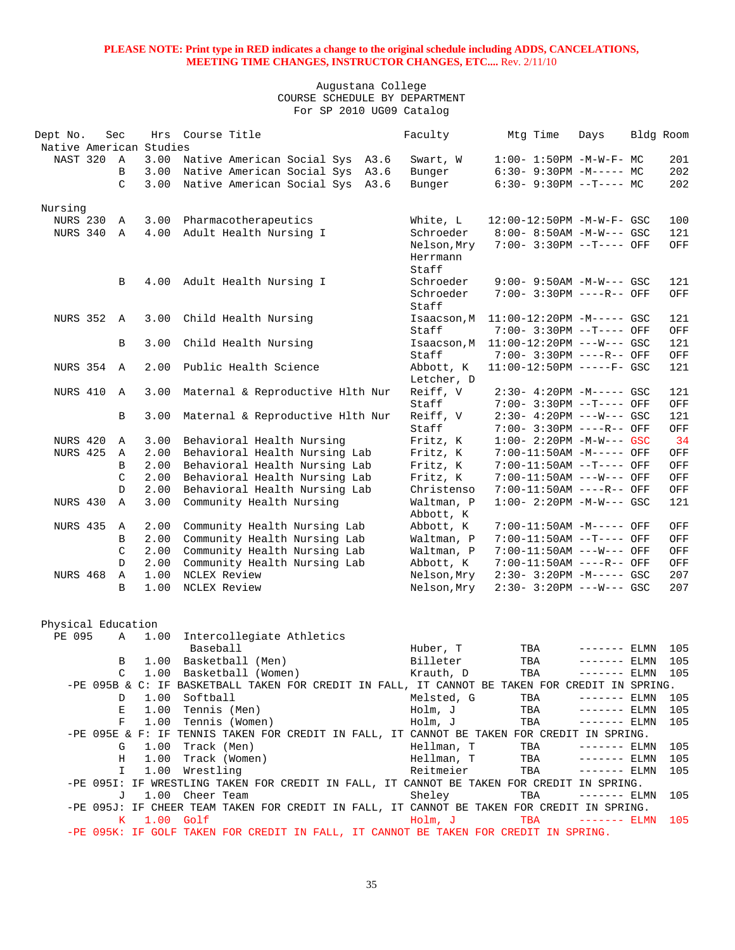## Augustana College COURSE SCHEDULE BY DEPARTMENT For SP 2010 UG09 Catalog

| Dept No.<br>Native American Studies | Sec          |             | Hrs Course Title                                                                                               | Faculty              | Mtg Time                                              | Days          | Bldg Room         |
|-------------------------------------|--------------|-------------|----------------------------------------------------------------------------------------------------------------|----------------------|-------------------------------------------------------|---------------|-------------------|
| NAST 320 A                          |              | 3.00        | Native American Social Sys A3.6                                                                                | Swart, W             | $1:00 - 1:50PM -M-W-F - MC$                           |               | 201               |
|                                     | B            | 3.00        | Native American Social Sys A3.6                                                                                | Bunger               | $6:30-9:30PM -M--- MC$                                |               | 202               |
|                                     | C            | 3.00        | Native American Social Sys A3.6                                                                                | Bunger               | $6:30 - 9:30PM -T--- MC$                              |               | 202               |
|                                     |              |             |                                                                                                                |                      |                                                       |               |                   |
| Nursing                             |              |             |                                                                                                                |                      |                                                       |               |                   |
| NURS 230                            | Α            | 3.00        | Pharmacotherapeutics                                                                                           | White, L             | 12:00-12:50PM -M-W-F- GSC                             |               | 100               |
| NURS 340                            | A            | 4.00        | Adult Health Nursing I                                                                                         | Schroeder            | 8:00- 8:50AM -M-W--- GSC                              |               | 121               |
|                                     |              |             |                                                                                                                | Nelson, Mry          | 7:00- 3:30PM --T---- OFF                              |               | OFF               |
|                                     |              |             |                                                                                                                | Herrmann             |                                                       |               |                   |
|                                     |              |             |                                                                                                                | Staff                |                                                       |               |                   |
|                                     | B            | 4.00        | Adult Health Nursing I                                                                                         | Schroeder            | $9:00 - 9:50AM - M-W--- GSC$                          |               | 121               |
|                                     |              |             |                                                                                                                | Schroeder            | 7:00- 3:30PM ----R-- OFF                              |               | OFF               |
|                                     |              |             |                                                                                                                | Staff                |                                                       |               |                   |
| <b>NURS 352 A</b>                   |              | 3.00        | Child Health Nursing                                                                                           | Isaacson, M          | $11:00-12:20PM -M--- GSC$                             |               | 121               |
|                                     |              |             |                                                                                                                | Staff                | 7:00- 3:30PM --T---- OFF                              |               | OFF               |
|                                     | B            | 3.00        | Child Health Nursing                                                                                           | Isaacson, M<br>Staff | 11:00-12:20PM ---W--- GSC<br>7:00- 3:30PM ----R-- OFF |               | 121<br>OFF        |
| NURS 354 A                          |              | 2.00        | Public Health Science                                                                                          | Abbott, K            | 11:00-12:50PM -----F- GSC                             |               | 121               |
|                                     |              |             |                                                                                                                | Letcher, D           |                                                       |               |                   |
| NURS 410                            | $\mathbb{A}$ | 3.00        | Maternal & Reproductive Hlth Nur                                                                               | Reiff, V             | $2:30-4:20PM -M--- GSC$                               |               | 121               |
|                                     |              |             |                                                                                                                | Staff                | 7:00- 3:30PM --T---- OFF                              |               | OFF               |
|                                     | B            | 3.00        | Maternal & Reproductive Hlth Nur                                                                               | Reiff, V             | $2:30-4:20PM$ ---W--- GSC                             |               | 121               |
|                                     |              |             |                                                                                                                | Staff                | 7:00- 3:30PM ----R-- OFF                              |               | OFF               |
| NURS 420                            | A            | 3.00        | Behavioral Health Nursing                                                                                      | Fritz, K             | $1:00 - 2:20PM -M-W---$ GSC                           |               | 34                |
| <b>NURS 425</b>                     | Α            | 2.00        | Behavioral Health Nursing Lab                                                                                  | Fritz, K             | 7:00-11:50AM -M----- OFF                              |               | OFF               |
|                                     | B            | 2.00        | Behavioral Health Nursing Lab                                                                                  | Fritz, K             | 7:00-11:50AM --T---- OFF                              |               | OFF               |
|                                     | C            | 2.00        | Behavioral Health Nursing Lab                                                                                  | Fritz, K             | 7:00-11:50AM ---W--- OFF                              |               | OFF               |
|                                     | D            | 2.00        | Behavioral Health Nursing Lab                                                                                  | Christenso           | 7:00-11:50AM ----R-- OFF                              |               | OFF               |
| NURS 430                            | $\mathbb{A}$ | 3.00        | Community Health Nursing                                                                                       | Waltman, P           | $1:00 - 2:20PM -M-W---$ GSC                           |               | 121               |
|                                     |              |             |                                                                                                                | Abbott, K            |                                                       |               |                   |
| NURS 435                            | Α            | 2.00        | Community Health Nursing Lab                                                                                   | Abbott, K            | 7:00-11:50AM -M----- OFF                              |               | OFF               |
|                                     | B            | 2.00        | Community Health Nursing Lab                                                                                   | Waltman, P           | 7:00-11:50AM --T---- OFF                              |               | OFF               |
|                                     | C            | 2.00        | Community Health Nursing Lab                                                                                   | Waltman, P           | 7:00-11:50AM ---W--- OFF                              |               | OFF               |
|                                     | $\mathbb D$  | 2.00        | Community Health Nursing Lab                                                                                   | Abbott, K            | 7:00-11:50AM ----R-- OFF                              |               | OFF               |
| <b>NURS 468</b>                     | Α            | 1.00        | NCLEX Review                                                                                                   | Nelson, Mry          | $2:30 - 3:20PM -M--- GSC$                             |               | 207               |
|                                     | B            | 1.00        | NCLEX Review                                                                                                   | Nelson, Mry          | $2:30-3:20PM$ ---W--- GSC                             |               | 207               |
|                                     |              |             |                                                                                                                |                      |                                                       |               |                   |
| Physical Education                  |              |             |                                                                                                                |                      |                                                       |               |                   |
| PE 095                              | A            | 1.00        | Intercollegiate Athletics                                                                                      |                      |                                                       |               |                   |
|                                     |              |             | Baseball                                                                                                       | Huber, T             | TBA                                                   | ------- ELMN  | 105               |
|                                     | В            |             | 1.00 Basketball (Men)                                                                                          | Billeter             | TBA                                                   | ------- ELMN  | 105               |
|                                     | C            |             | 1.00 Basketball (Women)                                                                                        | Krauth, D            | TBA                                                   |               | $------ELMN 105$  |
|                                     |              |             | -PE 095B & C: IF BASKETBALL TAKEN FOR CREDIT IN FALL, IT CANNOT BE TAKEN FOR CREDIT IN SPRING.                 |                      |                                                       |               |                   |
|                                     | D            |             | 1.00 Softball                                                                                                  | Melsted, G           | TBA                                                   | $------$ ELMN | 105               |
|                                     | Ε            |             | 1.00 Tennis (Men)                                                                                              | Holm, J              | TBA                                                   | $------ELMN$  | 105               |
|                                     | F            |             | 1.00 Tennis (Women)                                                                                            | Holm, J              | TBA                                                   | $------$ ELMN | 105               |
|                                     |              |             | -PE 095E & F: IF TENNIS TAKEN FOR CREDIT IN FALL, IT CANNOT BE TAKEN FOR CREDIT IN SPRING.                     |                      |                                                       |               |                   |
|                                     | G            | 1.00        | Track (Men)                                                                                                    | Hellman, T           | TBA                                                   | $------$ ELMN | 105               |
|                                     | Η            |             | 1.00 Track (Women)                                                                                             | Hellman, T           | TBA                                                   | $------ELMN$  | 105               |
|                                     | I            |             | 1.00 Wrestling                                                                                                 | Reitmeier            | TBA                                                   | $------ELMN$  | 105               |
|                                     |              |             | -PE 0951: IF WRESTLING TAKEN FOR CREDIT IN FALL, IT CANNOT BE TAKEN FOR CREDIT IN SPRING.                      |                      |                                                       |               |                   |
|                                     | J            |             | 1.00 Cheer Team                                                                                                | Sheley               | TBA                                                   | $------$ ELMN | 105               |
|                                     |              |             | -PE 095J: IF CHEER TEAM TAKEN FOR CREDIT IN FALL, IT CANNOT BE TAKEN FOR CREDIT IN SPRING.                     |                      |                                                       |               |                   |
|                                     | K            | $1.00$ Golf | - בת 1950 הדחים האירופים של המשיר המודר לא המודר המודר המודר המודר המודר המודר המודר המודר המודר המודר המודר ה | Holm, J              | TBA                                                   |               | $------ ELMN 105$ |
|                                     |              |             |                                                                                                                |                      |                                                       |               |                   |

-PE 095K: IF GOLF TAKEN FOR CREDIT IN FALL, IT CANNOT BE TAKEN FOR CREDIT IN SPRING.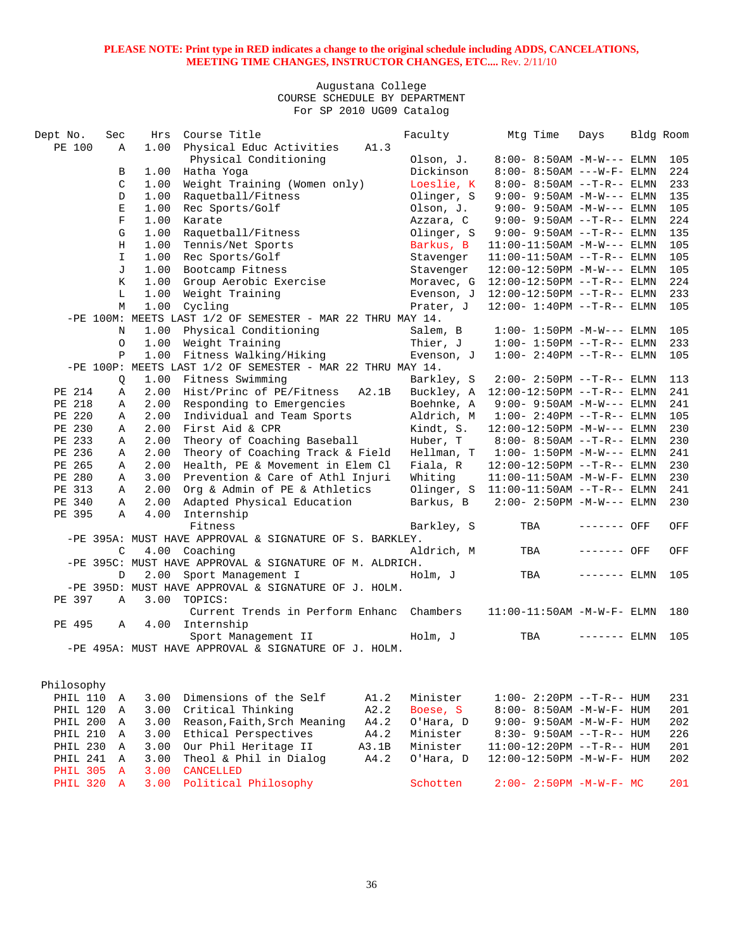| Dept No.          | Sec            | Hrs  | Course Title                                                 |       | Faculty    | Mtg Time                                | Days          | Bldg Room |     |
|-------------------|----------------|------|--------------------------------------------------------------|-------|------------|-----------------------------------------|---------------|-----------|-----|
| PE 100            | Α              | 1.00 | Physical Educ Activities                                     | A1.3  |            |                                         |               |           |     |
|                   |                |      | Physical Conditioning                                        |       | Olson, J.  | $8:00 - 8:50AM -M-W---$ ELMN            |               |           | 105 |
|                   | В              | 1.00 | Hatha Yoga                                                   |       | Dickinson  | $8:00 - 8:50AM$ ---W-F- ELMN            |               |           | 224 |
|                   | C              | 1.00 | Weight Training (Women only)                                 |       | Loeslie, K | $8:00 - 8:50AM -T-R--ELMN$              |               |           | 233 |
|                   | D              | 1.00 | Raquetball/Fitness                                           |       | Olinger, S | $9:00 - 9:50AM -M-W---$ ELMN            |               |           | 135 |
|                   | E              | 1.00 | Rec Sports/Golf                                              |       | Olson, J.  | $9:00 - 9:50AM -M-W---$ ELMN            |               |           | 105 |
|                   | F              | 1.00 | Karate                                                       |       | Azzara, C  | $9:00 - 9:50AM -T-R--ELMN$              |               |           | 224 |
|                   | G              | 1.00 | Raquetball/Fitness                                           |       | Olinger, S | $9:00 - 9:50AM -T-R--ELMN$              |               |           | 135 |
|                   | Н              | 1.00 | Tennis/Net Sports                                            |       | Barkus, B  | $11:00-11:50AM -M-W---$ ELMN            |               |           | 105 |
|                   | $\mathbf I$    | 1.00 | Rec Sports/Golf                                              |       | Stavenger  | $11:00-11:50AM$ --T-R-- ELMN            |               |           | 105 |
|                   | J              | 1.00 | Bootcamp Fitness                                             |       | Stavenger  | $12:00-12:50PM -M-W---$ ELMN            |               |           | 105 |
|                   | K              | 1.00 | Group Aerobic Exercise                                       |       | Moravec, G | $12:00-12:50PM -T-R-- ELMN$             |               |           | 224 |
|                   | L              | 1.00 | Weight Training                                              |       | Evenson, J | 12:00-12:50PM --T-R-- ELMN              |               |           | 233 |
|                   | M              | 1.00 | Cycling                                                      |       | Prater, J  | $12:00 - 1:40PM -T-R-- ELMN$            |               |           | 105 |
|                   |                |      | -PE 100M: MEETS LAST 1/2 OF SEMESTER - MAR 22 THRU MAY 14.   |       |            |                                         |               |           |     |
|                   | N              | 1.00 | Physical Conditioning                                        |       | Salem, B   | $1:00 - 1:50PM -M-W---$ ELMN            |               |           | 105 |
|                   | O              | 1.00 | Weight Training                                              |       | Thier, J   | $1:00 - 1:50PM -T-R-- ELMN$             |               |           | 233 |
|                   | $\, {\bf P}$   | 1.00 | Fitness Walking/Hiking                                       |       | Evenson, J | $1:00 - 2:40PM -T-R-- ELMN$             |               |           | 105 |
|                   |                |      | $-PE$ 100P: MEETS LAST 1/2 OF SEMESTER - MAR 22 THRU MAY 14. |       |            |                                         |               |           |     |
|                   | Q              | 1.00 | Fitness Swimming                                             |       | Barkley, S | $2:00 - 2:50PM -T-R-- ELMN$             |               |           | 113 |
| PE 214            | Α              | 2.00 | Hist/Princ of PE/Fitness                                     | A2.1B | Buckley, A | 12:00-12:50PM --T-R-- ELMN              |               |           | 241 |
| PE 218            | Α              | 2.00 | Responding to Emergencies                                    |       | Boehnke, A | $9:00 - 9:50AM -M-W---$ ELMN            |               |           | 241 |
| PE 220            | Α              | 2.00 | Individual and Team Sports                                   |       | Aldrich, M | $1:00 - 2:40PM -T-R-- ELMN$             |               |           | 105 |
| PE 230            | Α              | 2.00 | First Aid & CPR                                              |       | Kindt, S.  | $12:00-12:50PM -M-W---$ ELMN            |               |           | 230 |
| PE 233            | Α              | 2.00 | Theory of Coaching Baseball                                  |       | Huber, T   | $8:00 - 8:50AM -T-R-- ELMN$             |               |           | 230 |
| PE 236            | Α              | 2.00 | Theory of Coaching Track & Field                             |       | Hellman, T | $1:00 - 1:50PM -M-W---$ ELMN            |               |           | 241 |
| PE 265            | Α              | 2.00 | Health, PE & Movement in Elem Cl                             |       | Fiala, R   | 12:00-12:50PM --T-R-- ELMN              |               |           | 230 |
| PE 280            | Α              | 3.00 | Prevention & Care of Athl Injuri                             |       | Whiting    | $11:00-11:50AM - M-W-F- ELMN$           |               |           | 230 |
| PE 313            | Α              | 2.00 | Org & Admin of PE & Athletics                                |       |            | Olinger, $S$ 11:00-11:50AM --T-R-- ELMN |               |           | 241 |
| PE 340            | Α              | 2.00 | Adapted Physical Education                                   |       | Barkus, B  | $2:00 - 2:50PM -M-W---$ ELMN            |               |           | 230 |
| PE 395            | Α              | 4.00 | Internship                                                   |       |            |                                         |               |           |     |
|                   |                |      | Fitness                                                      |       | Barkley, S | TBA                                     | ------- OFF   |           | OFF |
|                   |                |      | -PE 395A: MUST HAVE APPROVAL & SIGNATURE OF S. BARKLEY.      |       |            |                                         |               |           |     |
|                   | C              |      | 4.00 Coaching                                                |       | Aldrich, M | TBA                                     | ------- OFF   |           | OFF |
|                   |                |      | -PE 395C: MUST HAVE APPROVAL & SIGNATURE OF M. ALDRICH.      |       |            |                                         |               |           |     |
|                   | D              | 2.00 | Sport Management I                                           |       | Holm, J    | TBA                                     | $------$ ELMN |           | 105 |
|                   |                |      | -PE 395D: MUST HAVE APPROVAL & SIGNATURE OF J. HOLM.         |       |            |                                         |               |           |     |
| PE 397            | $\mathbb{A}$   | 3.00 | TOPICS:                                                      |       |            |                                         |               |           |     |
|                   |                |      | Current Trends in Perform Enhanc Chambers                    |       |            | $11:00-11:50AM - M-W-F- ELMN$           |               |           | 180 |
| PE 495            | Α              | 4.00 | Internship                                                   |       |            |                                         |               |           |     |
|                   |                |      | Sport Management II                                          |       | Holm, J    | TBA                                     | ------- ELMN  |           | 105 |
|                   |                |      | -PE 495A: MUST HAVE APPROVAL & SIGNATURE OF J. HOLM.         |       |            |                                         |               |           |     |
|                   |                |      |                                                              |       |            |                                         |               |           |     |
|                   |                |      |                                                              |       |            |                                         |               |           |     |
| Philosophy        |                |      |                                                              |       |            |                                         |               |           |     |
| PHIL 110 A        |                | 3.00 | Dimensions of the Self                                       | A1.2  | Minister   | $1:00 - 2:20PM -T-R--HUM$               |               |           | 231 |
| PHIL 120 A        |                | 3.00 | Critical Thinking                                            | A2.2  | Boese, S   | 8:00- 8:50AM -M-W-F- HUM                |               |           | 201 |
| PHIL 200 A        |                | 3.00 | Reason, Faith, Srch Meaning                                  | A4.2  | O'Hara, D  | $9:00 - 9:50AM - M - W - F - HUM$       |               |           | 202 |
| PHIL 210 A        |                | 3.00 | Ethical Perspectives                                         | A4.2  | Minister   | $8:30 - 9:50AM -T-R-- HUM$              |               |           | 226 |
| PHIL 230 A        |                | 3.00 | Our Phil Heritage II                                         | A3.1B | Minister   | $11:00-12:20PM -T-R--HUM$               |               |           | 201 |
| PHIL 241          | $\mathbf{A}$   | 3.00 | Theol & Phil in Dialog                                       | A4.2  | O'Hara, D  | 12:00-12:50PM -M-W-F- HUM               |               |           | 202 |
| <b>PHIL 305</b>   | $\overline{A}$ | 3.00 | <b>CANCELLED</b>                                             |       |            |                                         |               |           |     |
| <b>PHIL 320 A</b> |                | 3.00 | Political Philosophy                                         |       | Schotten   | $2:00 - 2:50PM -M-W-F-MC$               |               |           | 201 |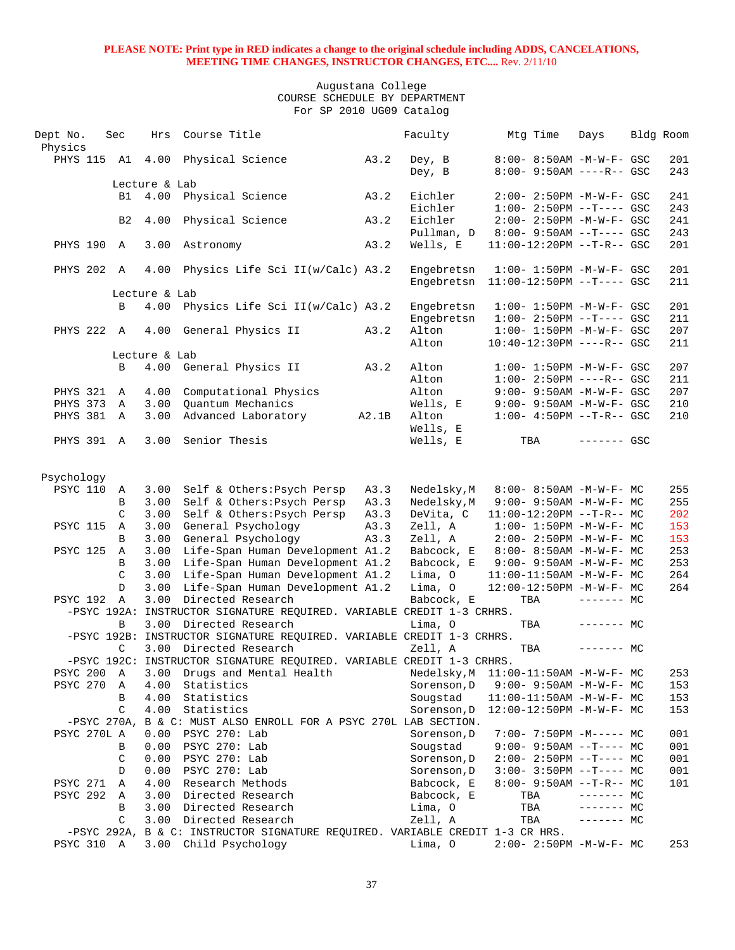| Dept No.<br>Physics | Sec            | Hrs           | Course Title                                                                  |       | Faculty                  | Mtg Time | Days                                                             | Bldg Room  |
|---------------------|----------------|---------------|-------------------------------------------------------------------------------|-------|--------------------------|----------|------------------------------------------------------------------|------------|
| PHYS 115 A1 4.00    |                |               | Physical Science                                                              | A3.2  | Dey, B<br>Dey, B         |          | 8:00- 8:50AM -M-W-F- GSC<br>$8:00 - 9:50AM$ ----R-- GSC          | 201<br>243 |
|                     |                | Lecture & Lab |                                                                               |       |                          |          |                                                                  |            |
|                     |                | B1 4.00       | Physical Science                                                              | A3.2  | Eichler<br>Eichler       |          | $2:00-2:50PM -M-W-F-GSC$<br>$1:00-2:50PM -T---GSC$               | 241<br>243 |
|                     | B <sub>2</sub> | 4.00          | Physical Science                                                              | A3.2  | Eichler<br>Pullman, D    |          | $2:00 - 2:50PM - M - W - F - GSC$<br>$8:00 - 9:50AM -T--- GSC$   | 241<br>243 |
| PHYS 190 A          |                | 3.00          | Astronomy                                                                     | A3.2  | Wells, E                 |          | 11:00-12:20PM --T-R-- GSC                                        | 201        |
| PHYS 202            | $\mathbb{A}$   | 4.00          | Physics Life Sci II(w/Calc) A3.2                                              |       | Engebretsn<br>Engebretsn |          | $1:00 - 1:50PM - M - W - F - GSC$<br>$11:00-12:50PM$ --T---- GSC | 201<br>211 |
|                     |                | Lecture & Lab |                                                                               |       |                          |          |                                                                  |            |
|                     | B              | 4.00          | Physics Life Sci II(w/Calc) A3.2                                              |       | Engebretsn               |          | $1:00 - 1:50PM - M - W - F - GSC$                                | 201        |
|                     |                |               |                                                                               |       | Engebretsn               |          | $1:00-2:50PM$ --T---- GSC                                        | 211        |
| PHYS 222 A          |                |               | 4.00 General Physics II                                                       | A3.2  | Alton                    |          | $1:00 - 1:50PM - M - W - F - GSC$                                | 207        |
|                     |                |               |                                                                               |       | Alton                    |          | $10:40-12:30PM$ ----R-- GSC                                      | 211        |
|                     |                | Lecture & Lab |                                                                               |       |                          |          |                                                                  |            |
|                     | B              |               | 4.00 General Physics II                                                       | A3.2  | Alton                    |          | $1:00 - 1:50PM - M - W - F - GSC$                                | 207        |
|                     |                |               |                                                                               |       | Alton                    |          | $1:00-2:50PM$ ----R-- GSC                                        | 211        |
| PHYS 321            | A              | 4.00          | Computational Physics                                                         |       | Alton                    |          | 9:00- 9:50AM -M-W-F- GSC                                         | 207        |
| PHYS 373            | Α              | 3.00          | Quantum Mechanics                                                             |       | Wells, E                 |          | 9:00- 9:50AM -M-W-F- GSC                                         | 210        |
| PHYS 381            | $\mathbb A$    | 3.00          | Advanced Laboratory                                                           | A2.1B | Alton                    |          | $1:00-4:50PM -T-R--GSC$                                          | 210        |
|                     |                |               |                                                                               |       | Wells, E                 |          |                                                                  |            |
| PHYS 391 A          |                | 3.00          | Senior Thesis                                                                 |       | Wells, E                 | TBA      | $------$ GSC                                                     |            |
| Psychology          |                |               |                                                                               |       |                          |          |                                                                  |            |
| <b>PSYC 110</b>     | Α              | 3.00          | Self & Others: Psych Persp                                                    | A3.3  | Nedelsky, M              |          | 8:00- 8:50AM -M-W-F- MC                                          | 255        |
|                     | B              | 3.00          | Self & Others: Psych Persp                                                    | A3.3  | Nedelsky, M              |          | $9:00 - 9:50AM -M-W-F - MC$                                      | 255        |
|                     | $\mathcal{C}$  | 3.00          | Self & Others: Psych Persp                                                    | A3.3  | DeVita, C                |          | $11:00-12:20PM$ --T-R-- MC                                       | 202        |
| <b>PSYC 115</b>     | A              | 3.00          | General Psychology                                                            | A3.3  | Zell, A                  |          | $1:00 - 1:50PM -M-W-F - MC$                                      | 153        |
|                     | B              | 3.00          | General Psychology                                                            | A3.3  | Zell, A                  |          | $2:00-2:50PM -M-W-F-MC$                                          | 153        |
| <b>PSYC 125</b>     | A              | 3.00          | Life-Span Human Development A1.2                                              |       | Babcock, E               |          | 8:00- 8:50AM -M-W-F- MC                                          | 253        |
|                     | B              | 3.00          | Life-Span Human Development A1.2                                              |       | Babcock, E               |          | $9:00 - 9:50AM - M - W - F - MC$                                 | 253        |
|                     | $\mathcal{C}$  | 3.00          | Life-Span Human Development A1.2                                              |       | Lima, O                  |          | 11:00-11:50AM -M-W-F- MC                                         | 264        |
|                     | D              | 3.00          | Life-Span Human Development A1.2                                              |       | Lima, O                  |          | 12:00-12:50PM -M-W-F- MC                                         | 264        |
| PSYC 192            | $\mathbb{A}$   | 3.00          | Directed Research                                                             |       | Babcock, E               | TBA      | $------$ MC                                                      |            |
|                     |                |               | -PSYC 192A: INSTRUCTOR SIGNATURE REQUIRED. VARIABLE CREDIT 1-3 CRHRS.         |       |                          |          |                                                                  |            |
|                     | B              | 3.00          | Directed Research                                                             |       | Lima, O                  | TBA      | $------$ MC                                                      |            |
|                     |                |               | -PSYC 192B: INSTRUCTOR SIGNATURE REQUIRED. VARIABLE CREDIT 1-3 CRHRS.         |       |                          |          |                                                                  |            |
|                     | C              |               | 3.00 Directed Research                                                        |       | Zell, A                  | TBA      | $------$ MC                                                      |            |
|                     |                |               | -PSYC 192C: INSTRUCTOR SIGNATURE REQUIRED. VARIABLE CREDIT 1-3 CRHRS.         |       |                          |          |                                                                  |            |
| PSYC 200            | Α              | 3.00          | Drugs and Mental Health                                                       |       | Nedelsky, M              |          | 11:00-11:50AM -M-W-F- MC                                         | 253        |
| PSYC 270            | Α              | 4.00          | Statistics                                                                    |       | Sorenson, D              |          | 9:00- 9:50AM -M-W-F- MC                                          | 153        |
|                     | В              | 4.00          | Statistics                                                                    |       | Sougstad                 |          | $11:00-11:50AM$ -M-W-F- MC                                       | 153        |
|                     | C              | 4.00          | Statistics                                                                    |       | Sorenson, D              |          | 12:00-12:50PM -M-W-F- MC                                         | 153        |
|                     |                |               | -PSYC 270A, B & C: MUST ALSO ENROLL FOR A PSYC 270L LAB SECTION.              |       |                          |          |                                                                  |            |
| PSYC 270L A         |                | 0.00          | PSYC 270: Lab                                                                 |       | Sorenson, D              |          | $7:00-7:50PM -M--- -$ MC                                         | 001        |
|                     | В              | 0.00          | PSYC 270: Lab                                                                 |       | Sougstad                 |          | $9:00-9:50AM -T---MC$                                            | 001        |
|                     | C              | 0.00          | PSYC 270: Lab                                                                 |       | Sorenson, D              |          | $2:00-2:50PM -T--- MC$                                           | 001        |
|                     | D              | 0.00          | PSYC 270: Lab                                                                 |       | Sorenson, D              |          | $3:00-3:50PM -T--- MC$                                           | 001        |
| <b>PSYC 271</b>     | Α              | 4.00          | Research Methods                                                              |       | Babcock, E               |          | $8:00 - 9:50AM -T-R-- MC$                                        | 101        |
| PSYC 292            | A              | 3.00          | Directed Research                                                             |       | Babcock, E               | TBA      | $------$ MC                                                      |            |
|                     | В              | 3.00          | Directed Research                                                             |       | Lima, O                  | TBA      | $-----MC$                                                        |            |
|                     | C              | 3.00          | Directed Research                                                             |       | Zell, A                  | TBA      | $------$ MC                                                      |            |
|                     |                |               | -PSYC 292A, B & C: INSTRUCTOR SIGNATURE REQUIRED. VARIABLE CREDIT 1-3 CR HRS. |       |                          |          |                                                                  |            |
| PSYC 310 A          |                |               | 3.00 Child Psychology                                                         |       | Lima, O                  |          | 2:00- 2:50PM -M-W-F- MC                                          | 253        |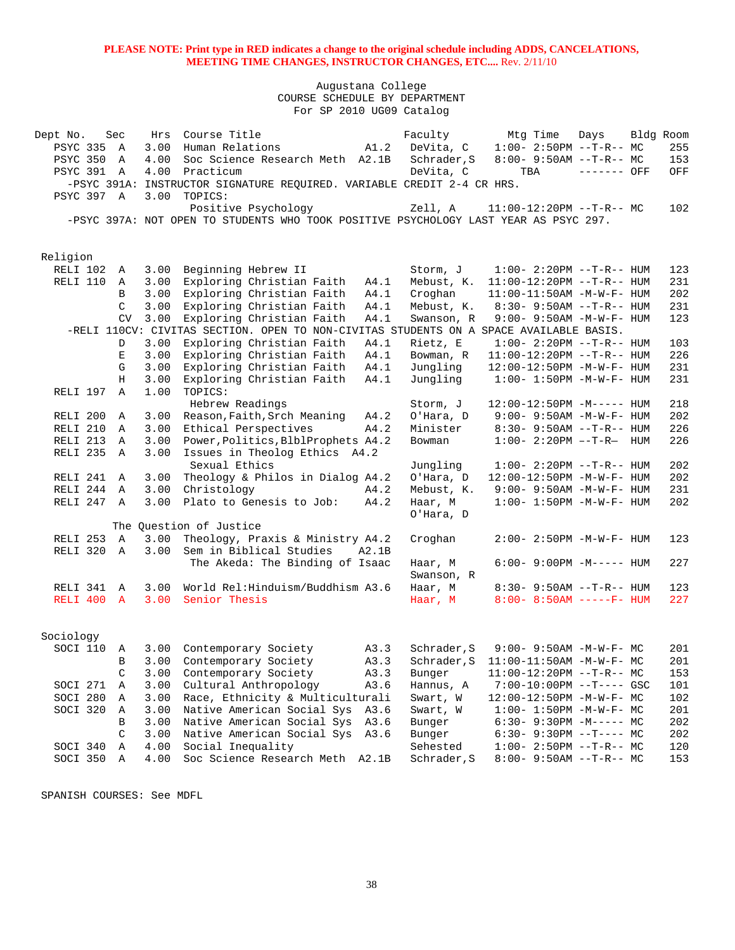Augustana College COURSE SCHEDULE BY DEPARTMENT For SP 2010 UG09 Catalog

| Dept No.          | Sec            | Hrs  | Course Title                                                                           |       | Faculty     | Mtg Time                          | Days         | Bldg Room |     |
|-------------------|----------------|------|----------------------------------------------------------------------------------------|-------|-------------|-----------------------------------|--------------|-----------|-----|
| PSYC 335          | A              | 3.00 | Human Relations                                                                        | A1.2  | DeVita, C   | $1:00-2:50PM -T-R--MC$            |              |           | 255 |
| <b>PSYC 350</b>   | A              | 4.00 | Soc Science Research Meth A2.1B                                                        |       | Schrader, S | $8:00 - 9:50AM -T-R-- MC$         |              |           | 153 |
| <b>PSYC 391 A</b> |                | 4.00 | Practicum                                                                              |       | DeVita, C   | TBA                               | $------$ OFF |           | OFF |
|                   |                |      | -PSYC 391A: INSTRUCTOR SIGNATURE REQUIRED. VARIABLE CREDIT 2-4 CR HRS.                 |       |             |                                   |              |           |     |
| PSYC 397 A        |                | 3.00 | TOPICS:                                                                                |       |             |                                   |              |           |     |
|                   |                |      | Positive Psychology                                                                    |       | Zell, A     | $11:00-12:20PM$ --T-R-- MC        |              |           | 102 |
|                   |                |      | -PSYC 397A: NOT OPEN TO STUDENTS WHO TOOK POSITIVE PSYCHOLOGY LAST YEAR AS PSYC 297.   |       |             |                                   |              |           |     |
|                   |                |      |                                                                                        |       |             |                                   |              |           |     |
|                   |                |      |                                                                                        |       |             |                                   |              |           |     |
| Religion          |                |      |                                                                                        |       |             |                                   |              |           |     |
| RELI 102          | Α              | 3.00 | Beginning Hebrew II                                                                    |       | Storm, J    | $1:00 - 2:20PM -T-R--HUM$         |              |           | 123 |
| RELI 110          | A              | 3.00 | Exploring Christian Faith                                                              | A4.1  | Mebust, K.  | $11:00-12:20PM$ --T-R-- HUM       |              |           | 231 |
|                   | B              | 3.00 | Exploring Christian Faith                                                              | A4.1  | Croghan     | $11:00-11:50AM$ -M-W-F- HUM       |              |           | 202 |
|                   | $\mathcal{C}$  | 3.00 | Exploring Christian Faith                                                              | A4.1  | Mebust, K.  | $8:30 - 9:50AM -T-R - HUM$        |              |           | 231 |
|                   | <b>CV</b>      | 3.00 | Exploring Christian Faith                                                              | A4.1  | Swanson, R  | $9:00 - 9:50AM - M - W - F - HUM$ |              |           | 123 |
|                   |                |      | -RELI 110CV: CIVITAS SECTION. OPEN TO NON-CIVITAS STUDENTS ON A SPACE AVAILABLE BASIS. |       |             |                                   |              |           |     |
|                   | D              | 3.00 | Exploring Christian Faith                                                              | A4.1  | Rietz, E    | $1:00 - 2:20PM -T-R--HUM$         |              |           | 103 |
|                   | Е              | 3.00 | Exploring Christian Faith                                                              | A4.1  | Bowman, R   | $11:00-12:20PM$ --T-R-- HUM       |              |           | 226 |
|                   | G              | 3.00 | Exploring Christian Faith                                                              | A4.1  | Jungling    | 12:00-12:50PM -M-W-F- HUM         |              |           | 231 |
|                   | Н              | 3.00 | Exploring Christian Faith                                                              | A4.1  | Jungling    | $1:00 - 1:50PM -M-W-F- HUM$       |              |           | 231 |
| RELI 197          | $\mathbb{A}$   | 1.00 | TOPICS:                                                                                |       |             |                                   |              |           |     |
|                   |                |      | Hebrew Readings                                                                        |       | Storm, J    | $12:00-12:50PM -M---$ HUM         |              |           | 218 |
| RELI 200 A        |                | 3.00 | Reason, Faith, Srch Meaning                                                            | A4.2  | O'Hara, D   | 9:00- 9:50AM -M-W-F- HUM          |              |           | 202 |
| RELI 210          | $\overline{A}$ | 3.00 | Ethical Perspectives                                                                   | A4.2  | Minister    | $8:30 - 9:50AM -T-R-- HUM$        |              |           | 226 |
| RELI 213          | A              | 3.00 | Power, Politics, BlblProphets A4.2                                                     |       | Bowman      | $1:00 - 2:20PM -T-R$ HUM          |              |           | 226 |
| RELI 235          | A              | 3.00 | Issues in Theolog Ethics A4.2                                                          |       |             |                                   |              |           |     |
|                   |                |      | Sexual Ethics                                                                          |       | Jungling    | $1:00 - 2:20PM -T-R--HUM$         |              |           | 202 |
| RELI 241          | Α              | 3.00 | Theology & Philos in Dialog A4.2                                                       |       | O'Hara, D   | 12:00-12:50PM -M-W-F- HUM         |              |           | 202 |
| RELI 244 A        |                | 3.00 | Christology                                                                            | A4.2  | Mebust, K.  | $9:00 - 9:50AM - M - W - F - HUM$ |              |           | 231 |
| RELI 247 A        |                | 3.00 | Plato to Genesis to Job:                                                               | A4.2  | Haar, M     | $1:00 - 1:50PM -M-W-F - HUM$      |              |           | 202 |
|                   |                |      |                                                                                        |       | O'Hara, D   |                                   |              |           |     |
|                   |                |      | The Question of Justice                                                                |       |             |                                   |              |           |     |
| RELI 253 A        |                | 3.00 | Theology, Praxis & Ministry A4.2                                                       |       | Croghan     | $2:00 - 2:50PM -M-W-F- HUM$       |              |           | 123 |
| RELI 320 A        |                | 3.00 | Sem in Biblical Studies                                                                | A2.1B |             |                                   |              |           |     |
|                   |                |      | The Akeda: The Binding of Isaac                                                        |       | Haar, M     | $6:00-9:00PM -M-----$ HUM         |              |           | 227 |
|                   |                |      |                                                                                        |       | Swanson, R  |                                   |              |           |     |
| RELI 341 A        |                | 3.00 | World Rel: Hinduism/Buddhism A3.6                                                      |       | Haar, M     | 8:30- 9:50AM --T-R-- HUM          |              |           | 123 |
| RELI 400 A        |                | 3.00 | Senior Thesis                                                                          |       | Haar, M     | $8:00 - 8:50AM$ -----F- HUM       |              |           | 227 |
|                   |                |      |                                                                                        |       |             |                                   |              |           |     |
|                   |                |      |                                                                                        |       |             |                                   |              |           |     |
| Sociology         |                |      |                                                                                        |       |             |                                   |              |           |     |
| SOCI 110          | A              | 3.00 | Contemporary Society                                                                   | A3.3  | Schrader, S | $9:00 - 9:50AM - M - W - F - MC$  |              |           | 201 |
|                   | B              | 3.00 | Contemporary Society                                                                   | A3.3  | Schrader, S | $11:00-11:50AM$ -M-W-F- MC        |              |           | 201 |
|                   | C              | 3.00 | Contemporary Society                                                                   | A3.3  | Bunger      | $11:00-12:20PM$ --T-R-- MC        |              |           | 153 |
| SOCI 271          | Α              | 3.00 | Cultural Anthropology                                                                  | A3.6  | Hannus, A   | $7:00-10:00PM$ --T---- GSC        |              |           | 101 |
| SOCI 280          | Α              | 3.00 | Race, Ethnicity & Multiculturali                                                       |       | Swart, W    | $12:00-12:50PM -M-W-F-MC$         |              |           | 102 |
| SOCI 320          | Α              | 3.00 | Native American Social Sys                                                             | A3.6  | Swart, W    | $1:00 - 1:50PM - M - W - F - MC$  |              |           | 201 |
|                   | В              | 3.00 | Native American Social Sys                                                             | A3.6  | Bunger      | $6:30 - 9:30PM -M--- MC$          |              |           | 202 |
|                   | C              | 3.00 | Native American Social Sys                                                             | A3.6  | Bunger      | $6:30-9:30PM --T---MC$            |              |           | 202 |
| SOCI 340          | Α              | 4.00 | Social Inequality                                                                      |       | Sehested    | $1:00-2:50PM -T-R--MC$            |              |           | 120 |
| SOCI 350          | Α              | 4.00 | Soc Science Research Meth A2.1B                                                        |       | Schrader, S | $8:00-9:50AM --T-R--MC$           |              |           | 153 |

SPANISH COURSES: See MDFL